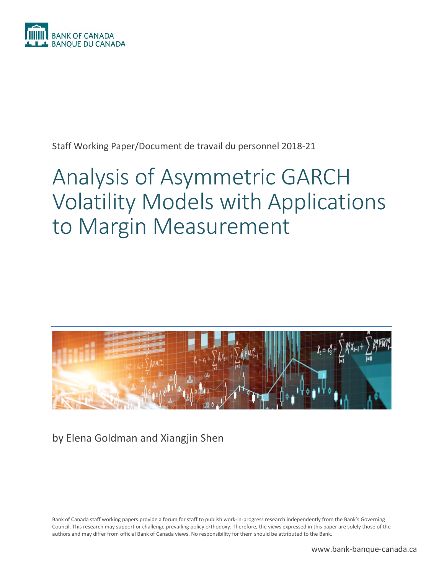

Staff Working Paper/Document de travail du personnel 2018-21

# Analysis of Asymmetric GARCH Volatility Models with Applications to Margin Measurement



by Elena Goldman and Xiangjin Shen

Bank of Canada staff working papers provide a forum for staff to publish work-in-progress research independently from the Bank's Governing Council. This research may support or challenge prevailing policy orthodoxy. Therefore, the views expressed in this paper are solely those of the authors and may differ from official Bank of Canada views. No responsibility for them should be attributed to the Bank.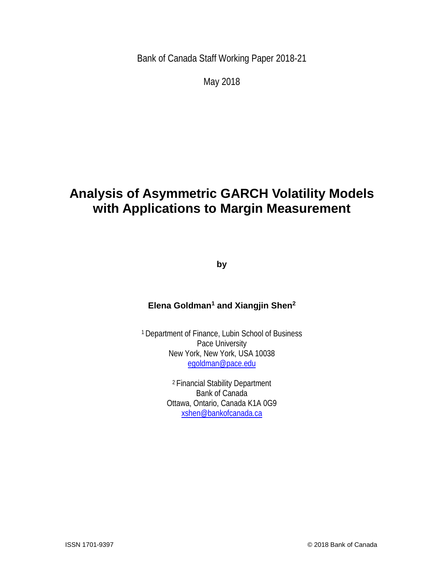Bank of Canada Staff Working Paper 2018-21

May 2018

## **Analysis of Asymmetric GARCH Volatility Models with Applications to Margin Measurement**

**by**

### **Elena Goldman1 and Xiangjin Shen2**

1 Department of Finance, Lubin School of Business Pace University New York, New York, USA 10038 [egoldman@pace.edu](mailto:egoldman@pace.edu)

> 2 Financial Stability Department Bank of Canada Ottawa, Ontario, Canada K1A 0G9 [xshen@bankofcanada.ca](mailto:xshen@bankofcanada.ca)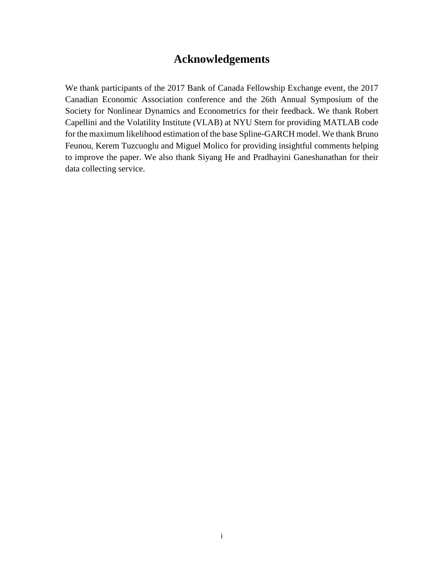### **Acknowledgements**

We thank participants of the 2017 Bank of Canada Fellowship Exchange event, the 2017 Canadian Economic Association conference and the 26th Annual Symposium of the Society for Nonlinear Dynamics and Econometrics for their feedback. We thank Robert Capellini and the Volatility Institute (VLAB) at NYU Stern for providing MATLAB code for the maximum likelihood estimation of the base Spline-GARCH model. We thank Bruno Feunou, Kerem Tuzcuoglu and Miguel Molico for providing insightful comments helping to improve the paper. We also thank Siyang He and Pradhayini Ganeshanathan for their data collecting service.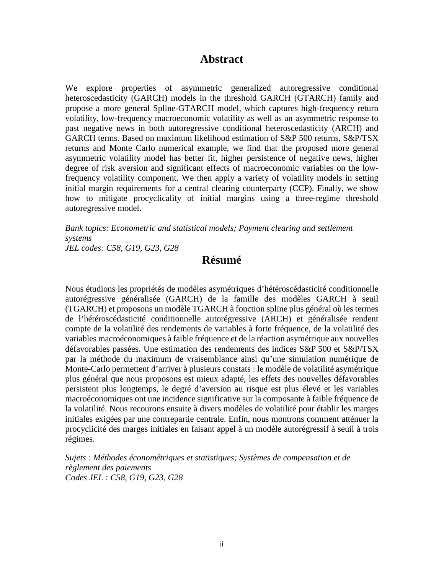### **Abstract**

We explore properties of asymmetric generalized autoregressive conditional heteroscedasticity (GARCH) models in the threshold GARCH (GTARCH) family and propose a more general Spline-GTARCH model, which captures high-frequency return volatility, low-frequency macroeconomic volatility as well as an asymmetric response to past negative news in both autoregressive conditional heteroscedasticity (ARCH) and GARCH terms. Based on maximum likelihood estimation of S&P 500 returns, S&P/TSX returns and Monte Carlo numerical example, we find that the proposed more general asymmetric volatility model has better fit, higher persistence of negative news, higher degree of risk aversion and significant effects of macroeconomic variables on the lowfrequency volatility component. We then apply a variety of volatility models in setting initial margin requirements for a central clearing counterparty (CCP). Finally, we show how to mitigate procyclicality of initial margins using a three-regime threshold autoregressive model.

*Bank topics: Econometric and statistical models; Payment clearing and settlement systems*

*JEL codes: C58, G19, G23, G28*

### **Résumé**

Nous étudions les propriétés de modèles asymétriques d'hétéroscédasticité conditionnelle autorégressive généralisée (GARCH) de la famille des modèles GARCH à seuil (TGARCH) et proposons un modèle TGARCH à fonction spline plus général où les termes de l'hétéroscédasticité conditionnelle autorégressive (ARCH) et généralisée rendent compte de la volatilité des rendements de variables à forte fréquence, de la volatilité des variables macroéconomiques à faible fréquence et de la réaction asymétrique aux nouvelles défavorables passées. Une estimation des rendements des indices S&P 500 et S&P/TSX par la méthode du maximum de vraisemblance ainsi qu'une simulation numérique de Monte-Carlo permettent d'arriver à plusieurs constats : le modèle de volatilité asymétrique plus général que nous proposons est mieux adapté, les effets des nouvelles défavorables persistent plus longtemps, le degré d'aversion au risque est plus élevé et les variables macroéconomiques ont une incidence significative sur la composante à faible fréquence de la volatilité. Nous recourons ensuite à divers modèles de volatilité pour établir les marges initiales exigées par une contrepartie centrale. Enfin, nous montrons comment atténuer la procyclicité des marges initiales en faisant appel à un modèle autorégressif à seuil à trois régimes.

*Sujets : Méthodes économétriques et statistiques; Systèmes de compensation et de règlement des paiements Codes JEL : C58, G19, G23, G28*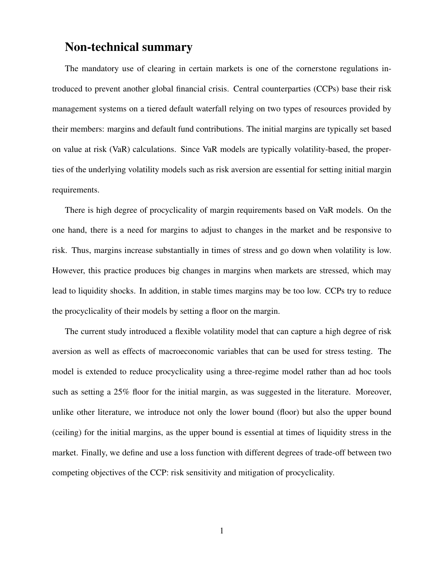### Non-technical summary

The mandatory use of clearing in certain markets is one of the cornerstone regulations introduced to prevent another global financial crisis. Central counterparties (CCPs) base their risk management systems on a tiered default waterfall relying on two types of resources provided by their members: margins and default fund contributions. The initial margins are typically set based on value at risk (VaR) calculations. Since VaR models are typically volatility-based, the properties of the underlying volatility models such as risk aversion are essential for setting initial margin requirements.

There is high degree of procyclicality of margin requirements based on VaR models. On the one hand, there is a need for margins to adjust to changes in the market and be responsive to risk. Thus, margins increase substantially in times of stress and go down when volatility is low. However, this practice produces big changes in margins when markets are stressed, which may lead to liquidity shocks. In addition, in stable times margins may be too low. CCPs try to reduce the procyclicality of their models by setting a floor on the margin.

The current study introduced a flexible volatility model that can capture a high degree of risk aversion as well as effects of macroeconomic variables that can be used for stress testing. The model is extended to reduce procyclicality using a three-regime model rather than ad hoc tools such as setting a 25% floor for the initial margin, as was suggested in the literature. Moreover, unlike other literature, we introduce not only the lower bound (floor) but also the upper bound (ceiling) for the initial margins, as the upper bound is essential at times of liquidity stress in the market. Finally, we define and use a loss function with different degrees of trade-off between two competing objectives of the CCP: risk sensitivity and mitigation of procyclicality.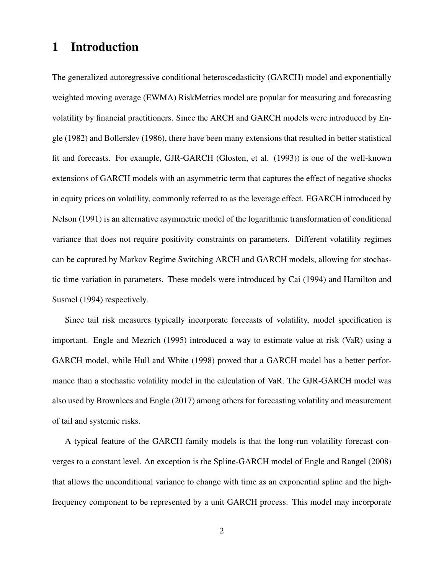### 1 Introduction

The generalized autoregressive conditional heteroscedasticity (GARCH) model and exponentially weighted moving average (EWMA) RiskMetrics model are popular for measuring and forecasting volatility by financial practitioners. Since the ARCH and GARCH models were introduced by Engle (1982) and Bollerslev (1986), there have been many extensions that resulted in better statistical fit and forecasts. For example, GJR-GARCH (Glosten, et al. (1993)) is one of the well-known extensions of GARCH models with an asymmetric term that captures the effect of negative shocks in equity prices on volatility, commonly referred to as the leverage effect. EGARCH introduced by Nelson (1991) is an alternative asymmetric model of the logarithmic transformation of conditional variance that does not require positivity constraints on parameters. Different volatility regimes can be captured by Markov Regime Switching ARCH and GARCH models, allowing for stochastic time variation in parameters. These models were introduced by Cai (1994) and Hamilton and Susmel (1994) respectively.

Since tail risk measures typically incorporate forecasts of volatility, model specification is important. Engle and Mezrich (1995) introduced a way to estimate value at risk (VaR) using a GARCH model, while Hull and White (1998) proved that a GARCH model has a better performance than a stochastic volatility model in the calculation of VaR. The GJR-GARCH model was also used by Brownlees and Engle (2017) among others for forecasting volatility and measurement of tail and systemic risks.

A typical feature of the GARCH family models is that the long-run volatility forecast converges to a constant level. An exception is the Spline-GARCH model of Engle and Rangel (2008) that allows the unconditional variance to change with time as an exponential spline and the highfrequency component to be represented by a unit GARCH process. This model may incorporate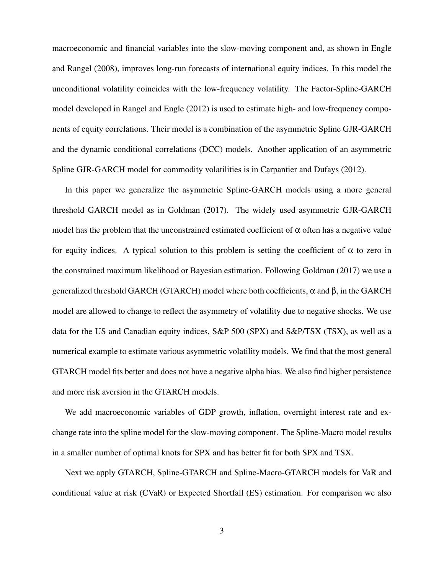macroeconomic and financial variables into the slow-moving component and, as shown in Engle and Rangel (2008), improves long-run forecasts of international equity indices. In this model the unconditional volatility coincides with the low-frequency volatility. The Factor-Spline-GARCH model developed in Rangel and Engle (2012) is used to estimate high- and low-frequency components of equity correlations. Their model is a combination of the asymmetric Spline GJR-GARCH and the dynamic conditional correlations (DCC) models. Another application of an asymmetric Spline GJR-GARCH model for commodity volatilities is in Carpantier and Dufays (2012).

In this paper we generalize the asymmetric Spline-GARCH models using a more general threshold GARCH model as in Goldman (2017). The widely used asymmetric GJR-GARCH model has the problem that the unconstrained estimated coefficient of  $\alpha$  often has a negative value for equity indices. A typical solution to this problem is setting the coefficient of  $\alpha$  to zero in the constrained maximum likelihood or Bayesian estimation. Following Goldman (2017) we use a generalized threshold GARCH (GTARCH) model where both coefficients,  $\alpha$  and  $\beta$ , in the GARCH model are allowed to change to reflect the asymmetry of volatility due to negative shocks. We use data for the US and Canadian equity indices, S&P 500 (SPX) and S&P/TSX (TSX), as well as a numerical example to estimate various asymmetric volatility models. We find that the most general GTARCH model fits better and does not have a negative alpha bias. We also find higher persistence and more risk aversion in the GTARCH models.

We add macroeconomic variables of GDP growth, inflation, overnight interest rate and exchange rate into the spline model for the slow-moving component. The Spline-Macro model results in a smaller number of optimal knots for SPX and has better fit for both SPX and TSX.

Next we apply GTARCH, Spline-GTARCH and Spline-Macro-GTARCH models for VaR and conditional value at risk (CVaR) or Expected Shortfall (ES) estimation. For comparison we also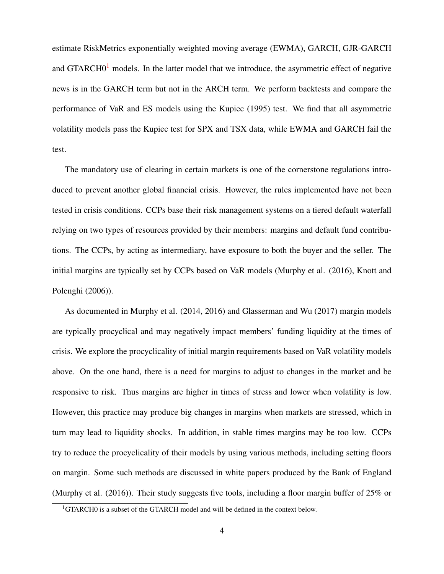estimate RiskMetrics exponentially weighted moving average (EWMA), GARCH, GJR-GARCH and  $GTARCH0<sup>1</sup>$  $GTARCH0<sup>1</sup>$  $GTARCH0<sup>1</sup>$  models. In the latter model that we introduce, the asymmetric effect of negative news is in the GARCH term but not in the ARCH term. We perform backtests and compare the performance of VaR and ES models using the Kupiec (1995) test. We find that all asymmetric volatility models pass the Kupiec test for SPX and TSX data, while EWMA and GARCH fail the test.

The mandatory use of clearing in certain markets is one of the cornerstone regulations introduced to prevent another global financial crisis. However, the rules implemented have not been tested in crisis conditions. CCPs base their risk management systems on a tiered default waterfall relying on two types of resources provided by their members: margins and default fund contributions. The CCPs, by acting as intermediary, have exposure to both the buyer and the seller. The initial margins are typically set by CCPs based on VaR models (Murphy et al. (2016), Knott and Polenghi (2006)).

As documented in Murphy et al. (2014, 2016) and Glasserman and Wu (2017) margin models are typically procyclical and may negatively impact members' funding liquidity at the times of crisis. We explore the procyclicality of initial margin requirements based on VaR volatility models above. On the one hand, there is a need for margins to adjust to changes in the market and be responsive to risk. Thus margins are higher in times of stress and lower when volatility is low. However, this practice may produce big changes in margins when markets are stressed, which in turn may lead to liquidity shocks. In addition, in stable times margins may be too low. CCPs try to reduce the procyclicality of their models by using various methods, including setting floors on margin. Some such methods are discussed in white papers produced by the Bank of England (Murphy et al. (2016)). Their study suggests five tools, including a floor margin buffer of 25% or

<span id="page-7-0"></span><sup>&</sup>lt;sup>1</sup>GTARCH0 is a subset of the GTARCH model and will be defined in the context below.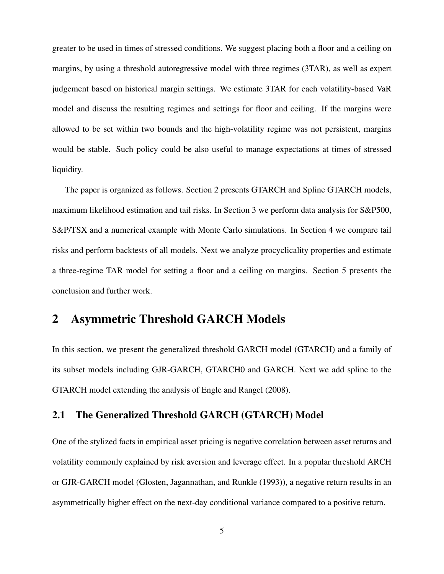greater to be used in times of stressed conditions. We suggest placing both a floor and a ceiling on margins, by using a threshold autoregressive model with three regimes (3TAR), as well as expert judgement based on historical margin settings. We estimate 3TAR for each volatility-based VaR model and discuss the resulting regimes and settings for floor and ceiling. If the margins were allowed to be set within two bounds and the high-volatility regime was not persistent, margins would be stable. Such policy could be also useful to manage expectations at times of stressed liquidity.

The paper is organized as follows. Section 2 presents GTARCH and Spline GTARCH models, maximum likelihood estimation and tail risks. In Section 3 we perform data analysis for S&P500, S&P/TSX and a numerical example with Monte Carlo simulations. In Section 4 we compare tail risks and perform backtests of all models. Next we analyze procyclicality properties and estimate a three-regime TAR model for setting a floor and a ceiling on margins. Section 5 presents the conclusion and further work.

### 2 Asymmetric Threshold GARCH Models

In this section, we present the generalized threshold GARCH model (GTARCH) and a family of its subset models including GJR-GARCH, GTARCH0 and GARCH. Next we add spline to the GTARCH model extending the analysis of Engle and Rangel (2008).

### 2.1 The Generalized Threshold GARCH (GTARCH) Model

One of the stylized facts in empirical asset pricing is negative correlation between asset returns and volatility commonly explained by risk aversion and leverage effect. In a popular threshold ARCH or GJR-GARCH model (Glosten, Jagannathan, and Runkle (1993)), a negative return results in an asymmetrically higher effect on the next-day conditional variance compared to a positive return.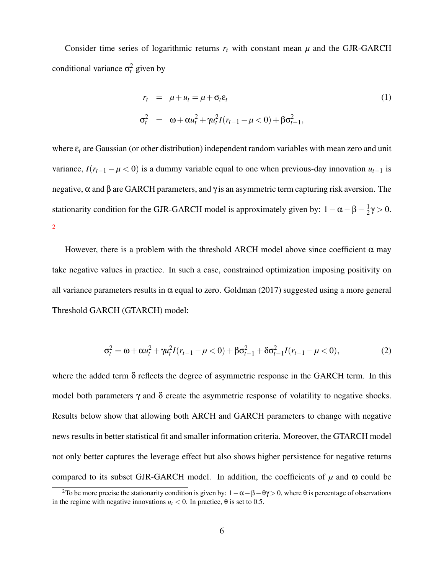Consider time series of logarithmic returns  $r_t$  with constant mean  $\mu$  and the GJR-GARCH conditional variance  $\sigma_t^2$  given by

$$
r_t = \mu + u_t = \mu + \sigma_t \varepsilon_t
$$
  
\n
$$
\sigma_t^2 = \omega + \alpha u_t^2 + \gamma u_t^2 I(r_{t-1} - \mu < 0) + \beta \sigma_{t-1}^2,
$$
\n(1)

where  $\varepsilon_t$  are Gaussian (or other distribution) independent random variables with mean zero and unit variance,  $I(r_{t-1} - \mu < 0)$  is a dummy variable equal to one when previous-day innovation  $u_{t-1}$  is negative,  $\alpha$  and  $\beta$  are GARCH parameters, and  $\gamma$  is an asymmetric term capturing risk aversion. The stationarity condition for the GJR-GARCH model is approximately given by:  $1 - \alpha - \beta - \frac{1}{2}$  $rac{1}{2}$ γ > 0. [2](#page-9-0)

However, there is a problem with the threshold ARCH model above since coefficient  $\alpha$  may take negative values in practice. In such a case, constrained optimization imposing positivity on all variance parameters results in  $\alpha$  equal to zero. Goldman (2017) suggested using a more general Threshold GARCH (GTARCH) model:

$$
\sigma_t^2 = \omega + \alpha u_t^2 + \gamma u_t^2 I(r_{t-1} - \mu < 0) + \beta \sigma_{t-1}^2 + \delta \sigma_{t-1}^2 I(r_{t-1} - \mu < 0),\tag{2}
$$

where the added term  $\delta$  reflects the degree of asymmetric response in the GARCH term. In this model both parameters  $\gamma$  and  $\delta$  create the asymmetric response of volatility to negative shocks. Results below show that allowing both ARCH and GARCH parameters to change with negative news results in better statistical fit and smaller information criteria. Moreover, the GTARCH model not only better captures the leverage effect but also shows higher persistence for negative returns compared to its subset GJR-GARCH model. In addition, the coefficients of  $\mu$  and  $\omega$  could be

<span id="page-9-0"></span><sup>&</sup>lt;sup>2</sup>To be more precise the stationarity condition is given by:  $1-\alpha-\beta-\theta\gamma > 0$ , where  $\theta$  is percentage of observations in the regime with negative innovations  $u_t < 0$ . In practice,  $\theta$  is set to 0.5.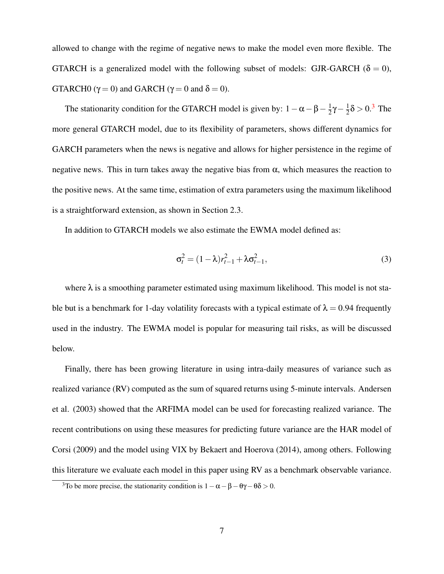allowed to change with the regime of negative news to make the model even more flexible. The GTARCH is a generalized model with the following subset of models: GJR-GARCH ( $\delta = 0$ ), GTARCHO ( $\gamma = 0$ ) and GARCH ( $\gamma = 0$  and  $\delta = 0$ ).

The stationarity condition for the GTARCH model is given by:  $1 - \alpha - \beta - \frac{1}{2}$  $rac{1}{2}$ γ —  $rac{1}{2}$  $\frac{1}{2}\delta$  > 0.<sup>[3](#page-10-0)</sup> The more general GTARCH model, due to its flexibility of parameters, shows different dynamics for GARCH parameters when the news is negative and allows for higher persistence in the regime of negative news. This in turn takes away the negative bias from  $\alpha$ , which measures the reaction to the positive news. At the same time, estimation of extra parameters using the maximum likelihood is a straightforward extension, as shown in Section 2.3.

In addition to GTARCH models we also estimate the EWMA model defined as:

$$
\sigma_t^2 = (1 - \lambda)r_{t-1}^2 + \lambda \sigma_{t-1}^2,\tag{3}
$$

where  $\lambda$  is a smoothing parameter estimated using maximum likelihood. This model is not stable but is a benchmark for 1-day volatility forecasts with a typical estimate of  $\lambda = 0.94$  frequently used in the industry. The EWMA model is popular for measuring tail risks, as will be discussed below.

Finally, there has been growing literature in using intra-daily measures of variance such as realized variance (RV) computed as the sum of squared returns using 5-minute intervals. Andersen et al. (2003) showed that the ARFIMA model can be used for forecasting realized variance. The recent contributions on using these measures for predicting future variance are the HAR model of Corsi (2009) and the model using VIX by Bekaert and Hoerova (2014), among others. Following this literature we evaluate each model in this paper using RV as a benchmark observable variance.

<span id="page-10-0"></span><sup>&</sup>lt;sup>3</sup>To be more precise, the stationarity condition is  $1 - \alpha - \beta - \theta \gamma - \theta \delta > 0$ .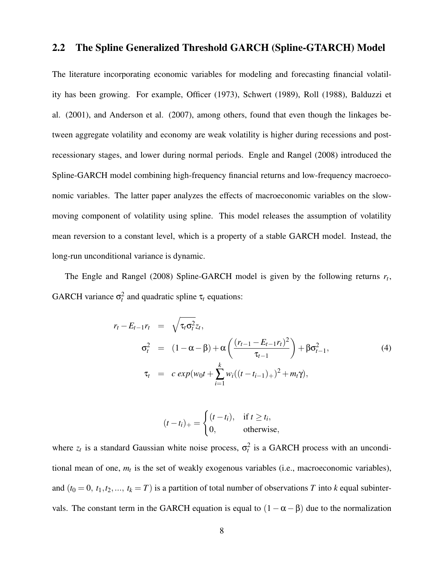### 2.2 The Spline Generalized Threshold GARCH (Spline-GTARCH) Model

The literature incorporating economic variables for modeling and forecasting financial volatility has been growing. For example, Officer (1973), Schwert (1989), Roll (1988), Balduzzi et al. (2001), and Anderson et al. (2007), among others, found that even though the linkages between aggregate volatility and economy are weak volatility is higher during recessions and postrecessionary stages, and lower during normal periods. Engle and Rangel (2008) introduced the Spline-GARCH model combining high-frequency financial returns and low-frequency macroeconomic variables. The latter paper analyzes the effects of macroeconomic variables on the slowmoving component of volatility using spline. This model releases the assumption of volatility mean reversion to a constant level, which is a property of a stable GARCH model. Instead, the long-run unconditional variance is dynamic.

The Engle and Rangel (2008) Spline-GARCH model is given by the following returns *r<sup>t</sup>* , GARCH variance  $\sigma_t^2$  and quadratic spline  $\tau_t$  equations:

$$
r_{t} - E_{t-1}r_{t} = \sqrt{\tau_{t}\sigma_{t}^{2}}z_{t},
$$
  
\n
$$
\sigma_{t}^{2} = (1 - \alpha - \beta) + \alpha \left(\frac{(r_{t-1} - E_{t-1}r_{t})^{2}}{\tau_{t-1}}\right) + \beta \sigma_{t-1}^{2},
$$
  
\n
$$
\tau_{t} = c \exp(w_{0}t + \sum_{i=1}^{k} w_{i}((t - t_{i-1})_{+})^{2} + m_{t}\gamma),
$$
\n(4)

$$
(t-ti)+ = \begin{cases} (t-ti), & \text{if } t \ge ti, \\ 0, & \text{otherwise,} \end{cases}
$$

where  $z_t$  is a standard Gaussian white noise process,  $\sigma_t^2$  is a GARCH process with an unconditional mean of one, *m<sup>t</sup>* is the set of weakly exogenous variables (i.e., macroeconomic variables), and  $(t_0 = 0, t_1, t_2, ..., t_k = T)$  is a partition of total number of observations *T* into *k* equal subintervals. The constant term in the GARCH equation is equal to  $(1-\alpha-\beta)$  due to the normalization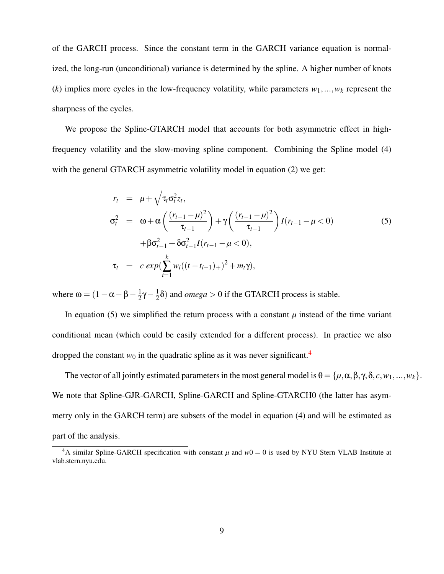of the GARCH process. Since the constant term in the GARCH variance equation is normalized, the long-run (unconditional) variance is determined by the spline. A higher number of knots  $(k)$  implies more cycles in the low-frequency volatility, while parameters  $w_1, \ldots, w_k$  represent the sharpness of the cycles.

We propose the Spline-GTARCH model that accounts for both asymmetric effect in highfrequency volatility and the slow-moving spline component. Combining the Spline model (4) with the general GTARCH asymmetric volatility model in equation (2) we get:

$$
r_{t} = \mu + \sqrt{\tau_{t} \sigma_{t}^{2}} z_{t},
$$
  
\n
$$
\sigma_{t}^{2} = \omega + \alpha \left( \frac{(r_{t-1} - \mu)^{2}}{\tau_{t-1}} \right) + \gamma \left( \frac{(r_{t-1} - \mu)^{2}}{\tau_{t-1}} \right) I(r_{t-1} - \mu < 0)
$$
  
\n
$$
+ \beta \sigma_{t-1}^{2} + \delta \sigma_{t-1}^{2} I(r_{t-1} - \mu < 0),
$$
  
\n
$$
\tau_{t} = c \exp \left( \sum_{i=1}^{k} w_{i} ((t - t_{i-1})_{+})^{2} + m_{t} \gamma \right),
$$
\n(5)

where  $\omega = (1 - \alpha - \beta - \frac{1}{2})$  $rac{1}{2}$ γ –  $rac{1}{2}$  $\frac{1}{2}\delta$ ) and *omega* > 0 if the GTARCH process is stable.

In equation (5) we simplified the return process with a constant  $\mu$  instead of the time variant conditional mean (which could be easily extended for a different process). In practice we also dropped the constant  $w_0$  in the quadratic spline as it was never significant.<sup>[4](#page-12-0)</sup>

The vector of all jointly estimated parameters in the most general model is  $\theta = {\mu, \alpha, \beta, \gamma, \delta, c, w_1, ..., w_k}.$ We note that Spline-GJR-GARCH, Spline-GARCH and Spline-GTARCH0 (the latter has asymmetry only in the GARCH term) are subsets of the model in equation (4) and will be estimated as part of the analysis.

<span id="page-12-0"></span><sup>&</sup>lt;sup>4</sup>A similar Spline-GARCH specification with constant  $\mu$  and  $w0 = 0$  is used by NYU Stern VLAB Institute at vlab.stern.nyu.edu.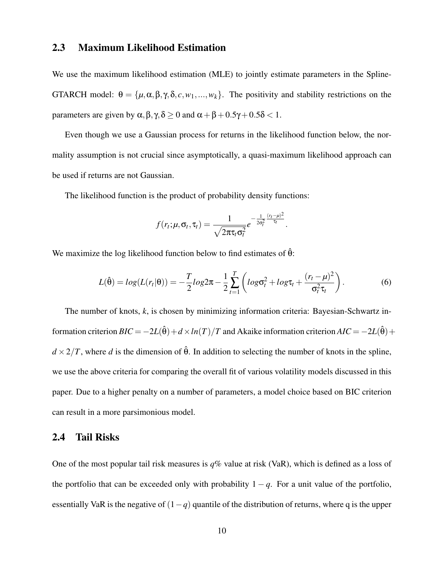### 2.3 Maximum Likelihood Estimation

We use the maximum likelihood estimation (MLE) to jointly estimate parameters in the Spline-GTARCH model:  $\theta = {\mu, \alpha, \beta, \gamma, \delta, c, w_1, ..., w_k}$ . The positivity and stability restrictions on the parameters are given by  $\alpha, \beta, \gamma, \delta \ge 0$  and  $\alpha + \beta + 0.5\gamma + 0.5\delta < 1$ .

Even though we use a Gaussian process for returns in the likelihood function below, the normality assumption is not crucial since asymptotically, a quasi-maximum likelihood approach can be used if returns are not Gaussian.

The likelihood function is the product of probability density functions:

$$
f(r_t; \mu, \sigma_t, \tau_t) = \frac{1}{\sqrt{2\pi \tau_t \sigma_t^2}} e^{-\frac{1}{2\sigma_t^2} \frac{(r_t - \mu)^2}{\tau_t}}.
$$

We maximize the log likelihood function below to find estimates of  $\hat{\theta}$ :

$$
L(\hat{\theta}) = log(L(r_t|\theta)) = -\frac{T}{2}log2\pi - \frac{1}{2}\sum_{t=1}^{T} \left(log\sigma_t^2 + log\tau_t + \frac{(r_t - \mu)^2}{\sigma_t^2 \tau_t}\right).
$$
(6)

The number of knots, *k*, is chosen by minimizing information criteria: Bayesian-Schwartz information criterion  $BIC = -2L(\hat{\theta}) + d \times ln(T)/T$  and Akaike information criterion  $AIC = -2L(\hat{\theta}) + d \times ln(T)/T$  $d \times 2/T$ , where *d* is the dimension of  $\hat{\theta}$ . In addition to selecting the number of knots in the spline, we use the above criteria for comparing the overall fit of various volatility models discussed in this paper. Due to a higher penalty on a number of parameters, a model choice based on BIC criterion can result in a more parsimonious model.

#### 2.4 Tail Risks

One of the most popular tail risk measures is *q*% value at risk (VaR), which is defined as a loss of the portfolio that can be exceeded only with probability  $1 - q$ . For a unit value of the portfolio, essentially VaR is the negative of (1−*q*) quantile of the distribution of returns, where q is the upper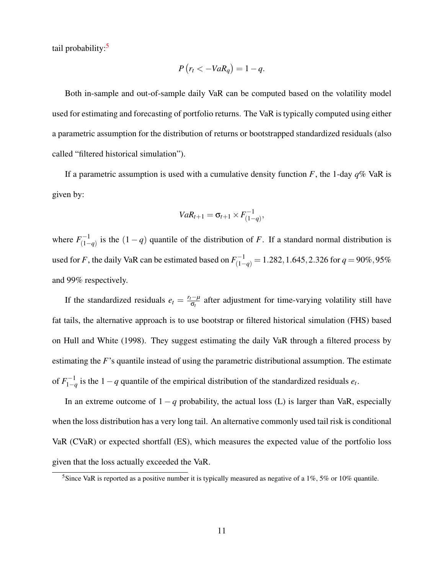tail probability:<sup>[5](#page-14-0)</sup>

$$
P(r_t < -VaR_q) = 1 - q.
$$

Both in-sample and out-of-sample daily VaR can be computed based on the volatility model used for estimating and forecasting of portfolio returns. The VaR is typically computed using either a parametric assumption for the distribution of returns or bootstrapped standardized residuals (also called "filtered historical simulation").

If a parametric assumption is used with a cumulative density function *F*, the 1-day *q*% VaR is given by:

$$
VaR_{t+1} = \sigma_{t+1} \times F_{(1-q)}^{-1},
$$

where  $F_{(1)}^{-1}$  $\binom{n-1}{1-q}$  is the  $(1-q)$  quantile of the distribution of *F*. If a standard normal distribution is used for *F*, the daily VaR can be estimated based on  $F_{(1-q)}^{-1} = 1.282, 1.645, 2.326$  for  $q = 90\%, 95\%$ and 99% respectively.

If the standardized residuals  $e_t = \frac{r_t - \mu}{\sigma_t}$  $\frac{d - \mu}{d \sigma_t}$  after adjustment for time-varying volatility still have fat tails, the alternative approach is to use bootstrap or filtered historical simulation (FHS) based on Hull and White (1998). They suggest estimating the daily VaR through a filtered process by estimating the *F*'s quantile instead of using the parametric distributional assumption. The estimate of  $F_{1-i}^{-1}$  $\frac{1}{1-q}$  is the 1 − *q* quantile of the empirical distribution of the standardized residuals  $e_t$ .

In an extreme outcome of  $1 - q$  probability, the actual loss (L) is larger than VaR, especially when the loss distribution has a very long tail. An alternative commonly used tail risk is conditional VaR (CVaR) or expected shortfall (ES), which measures the expected value of the portfolio loss given that the loss actually exceeded the VaR.

<span id="page-14-0"></span><sup>&</sup>lt;sup>5</sup>Since VaR is reported as a positive number it is typically measured as negative of a 1%, 5% or 10% quantile.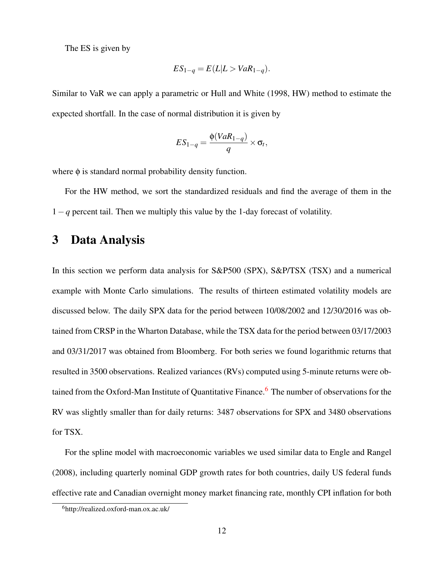The ES is given by

$$
ES_{1-q} = E(L|L > VaR_{1-q}).
$$

Similar to VaR we can apply a parametric or Hull and White (1998, HW) method to estimate the expected shortfall. In the case of normal distribution it is given by

$$
ES_{1-q} = \frac{\phi(VaR_{1-q})}{q} \times \sigma_t,
$$

where  $\phi$  is standard normal probability density function.

For the HW method, we sort the standardized residuals and find the average of them in the 1−*q* percent tail. Then we multiply this value by the 1-day forecast of volatility.

### 3 Data Analysis

In this section we perform data analysis for S&P500 (SPX), S&P/TSX (TSX) and a numerical example with Monte Carlo simulations. The results of thirteen estimated volatility models are discussed below. The daily SPX data for the period between 10/08/2002 and 12/30/2016 was obtained from CRSP in the Wharton Database, while the TSX data for the period between 03/17/2003 and 03/31/2017 was obtained from Bloomberg. For both series we found logarithmic returns that resulted in 3500 observations. Realized variances (RVs) computed using 5-minute returns were ob-tained from the Oxford-Man Institute of Quantitative Finance.<sup>[6](#page-15-0)</sup> The number of observations for the RV was slightly smaller than for daily returns: 3487 observations for SPX and 3480 observations for TSX.

For the spline model with macroeconomic variables we used similar data to Engle and Rangel (2008), including quarterly nominal GDP growth rates for both countries, daily US federal funds effective rate and Canadian overnight money market financing rate, monthly CPI inflation for both

<span id="page-15-0"></span><sup>6</sup>http://realized.oxford-man.ox.ac.uk/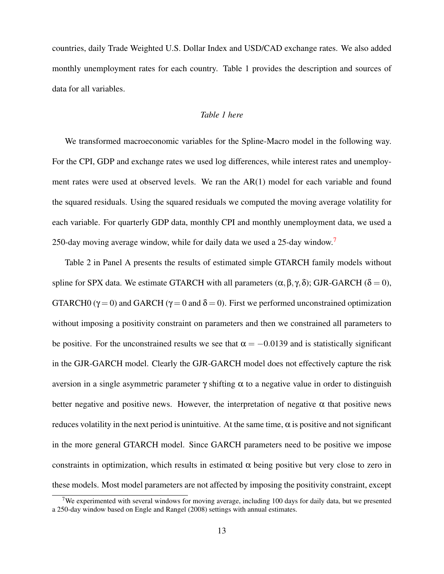countries, daily Trade Weighted U.S. Dollar Index and USD/CAD exchange rates. We also added monthly unemployment rates for each country. Table 1 provides the description and sources of data for all variables.

#### *Table 1 here*

We transformed macroeconomic variables for the Spline-Macro model in the following way. For the CPI, GDP and exchange rates we used log differences, while interest rates and unemployment rates were used at observed levels. We ran the AR(1) model for each variable and found the squared residuals. Using the squared residuals we computed the moving average volatility for each variable. For quarterly GDP data, monthly CPI and monthly unemployment data, we used a 250-day moving average window, while for daily data we used a 25-day window.<sup>[7](#page-16-0)</sup>

Table 2 in Panel A presents the results of estimated simple GTARCH family models without spline for SPX data. We estimate GTARCH with all parameters  $(α, β, γ, δ)$ ; GJR-GARCH  $(δ = 0)$ , GTARCH0 ( $\gamma = 0$ ) and GARCH ( $\gamma = 0$  and  $\delta = 0$ ). First we performed unconstrained optimization without imposing a positivity constraint on parameters and then we constrained all parameters to be positive. For the unconstrained results we see that  $\alpha = -0.0139$  and is statistically significant in the GJR-GARCH model. Clearly the GJR-GARCH model does not effectively capture the risk aversion in a single asymmetric parameter  $\gamma$  shifting α to a negative value in order to distinguish better negative and positive news. However, the interpretation of negative  $\alpha$  that positive news reduces volatility in the next period is unintuitive. At the same time,  $\alpha$  is positive and not significant in the more general GTARCH model. Since GARCH parameters need to be positive we impose constraints in optimization, which results in estimated  $\alpha$  being positive but very close to zero in these models. Most model parameters are not affected by imposing the positivity constraint, except

<span id="page-16-0"></span><sup>&</sup>lt;sup>7</sup>We experimented with several windows for moving average, including 100 days for daily data, but we presented a 250-day window based on Engle and Rangel (2008) settings with annual estimates.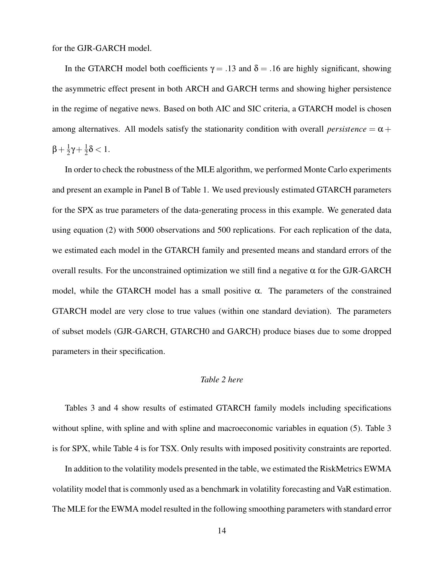for the GJR-GARCH model.

In the GTARCH model both coefficients  $\gamma = .13$  and  $\delta = .16$  are highly significant, showing the asymmetric effect present in both ARCH and GARCH terms and showing higher persistence in the regime of negative news. Based on both AIC and SIC criteria, a GTARCH model is chosen among alternatives. All models satisfy the stationarity condition with overall *persistence* =  $\alpha$  +  $\beta + \frac{1}{2}$  $rac{1}{2}γ + \frac{1}{2}$  $\frac{1}{2}\delta < 1.$ 

In order to check the robustness of the MLE algorithm, we performed Monte Carlo experiments and present an example in Panel B of Table 1. We used previously estimated GTARCH parameters for the SPX as true parameters of the data-generating process in this example. We generated data using equation (2) with 5000 observations and 500 replications. For each replication of the data, we estimated each model in the GTARCH family and presented means and standard errors of the overall results. For the unconstrained optimization we still find a negative α for the GJR-GARCH model, while the GTARCH model has a small positive  $\alpha$ . The parameters of the constrained GTARCH model are very close to true values (within one standard deviation). The parameters of subset models (GJR-GARCH, GTARCH0 and GARCH) produce biases due to some dropped parameters in their specification.

### *Table 2 here*

Tables 3 and 4 show results of estimated GTARCH family models including specifications without spline, with spline and with spline and macroeconomic variables in equation (5). Table 3 is for SPX, while Table 4 is for TSX. Only results with imposed positivity constraints are reported.

In addition to the volatility models presented in the table, we estimated the RiskMetrics EWMA volatility model that is commonly used as a benchmark in volatility forecasting and VaR estimation. The MLE for the EWMA model resulted in the following smoothing parameters with standard error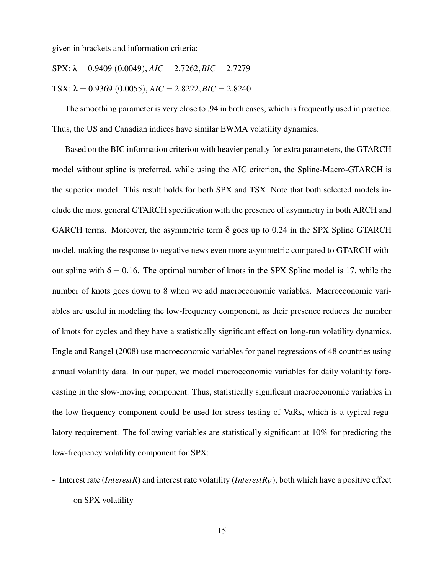given in brackets and information criteria:

$$
SPX: \lambda = 0.9409 (0.0049), AIC = 2.7262, BIC = 2.7279
$$

$$
TSX: \lambda = 0.9369 (0.0055), AIC = 2.8222, BIC = 2.8240
$$

The smoothing parameter is very close to .94 in both cases, which is frequently used in practice. Thus, the US and Canadian indices have similar EWMA volatility dynamics.

Based on the BIC information criterion with heavier penalty for extra parameters, the GTARCH model without spline is preferred, while using the AIC criterion, the Spline-Macro-GTARCH is the superior model. This result holds for both SPX and TSX. Note that both selected models include the most general GTARCH specification with the presence of asymmetry in both ARCH and GARCH terms. Moreover, the asymmetric term  $\delta$  goes up to 0.24 in the SPX Spline GTARCH model, making the response to negative news even more asymmetric compared to GTARCH without spline with  $\delta = 0.16$ . The optimal number of knots in the SPX Spline model is 17, while the number of knots goes down to 8 when we add macroeconomic variables. Macroeconomic variables are useful in modeling the low-frequency component, as their presence reduces the number of knots for cycles and they have a statistically significant effect on long-run volatility dynamics. Engle and Rangel (2008) use macroeconomic variables for panel regressions of 48 countries using annual volatility data. In our paper, we model macroeconomic variables for daily volatility forecasting in the slow-moving component. Thus, statistically significant macroeconomic variables in the low-frequency component could be used for stress testing of VaRs, which is a typical regulatory requirement. The following variables are statistically significant at 10% for predicting the low-frequency volatility component for SPX:

- Interest rate (*InterestR*) and interest rate volatility (*InterestR<sup>V</sup>* ), both which have a positive effect on SPX volatility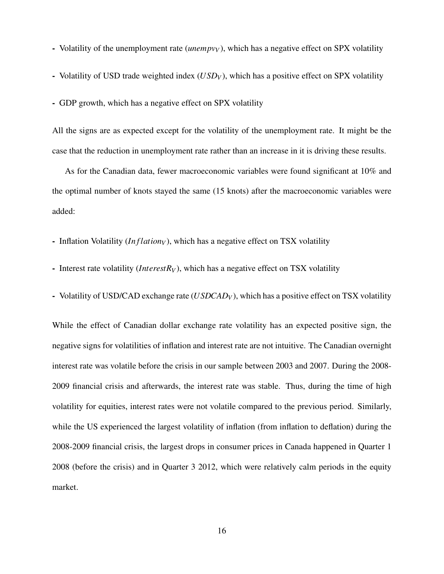- Volatility of the unemployment rate *(unempv<sub>V</sub>*), which has a negative effect on SPX volatility
- Volatility of USD trade weighted index (*USD<sub>V</sub>*), which has a positive effect on SPX volatility

- GDP growth, which has a negative effect on SPX volatility

All the signs are as expected except for the volatility of the unemployment rate. It might be the case that the reduction in unemployment rate rather than an increase in it is driving these results.

As for the Canadian data, fewer macroeconomic variables were found significant at 10% and the optimal number of knots stayed the same (15 knots) after the macroeconomic variables were added:

- Inflation Volatility (*In f lation<sup>V</sup>* ), which has a negative effect on TSX volatility

- Interest rate volatility (*InterestR<sub>V</sub>*), which has a negative effect on TSX volatility
- Volatility of USD/CAD exchange rate (*USDCAD<sup>V</sup>* ), which has a positive effect on TSX volatility

While the effect of Canadian dollar exchange rate volatility has an expected positive sign, the negative signs for volatilities of inflation and interest rate are not intuitive. The Canadian overnight interest rate was volatile before the crisis in our sample between 2003 and 2007. During the 2008- 2009 financial crisis and afterwards, the interest rate was stable. Thus, during the time of high volatility for equities, interest rates were not volatile compared to the previous period. Similarly, while the US experienced the largest volatility of inflation (from inflation to deflation) during the 2008-2009 financial crisis, the largest drops in consumer prices in Canada happened in Quarter 1 2008 (before the crisis) and in Quarter 3 2012, which were relatively calm periods in the equity market.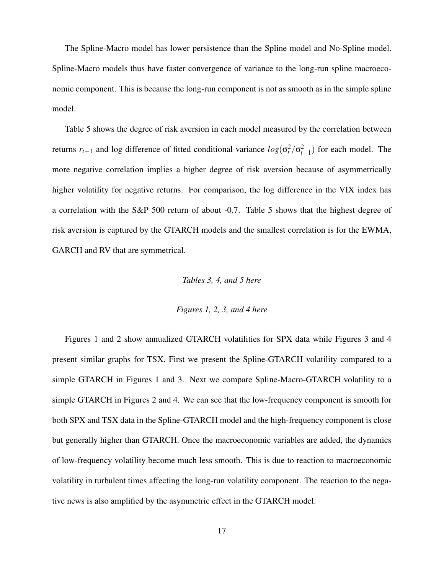The Spline-Macro model has lower persistence than the Spline model and No-Spline model. Spline-Macro models thus have faster convergence of variance to the long-run spline macroeconomic component. This is because the long-run component is not as smooth as in the simple spline model.

Table 5 shows the degree of risk aversion in each model measured by the correlation between returns  $r_{t-1}$  and log difference of fitted conditional variance  $log(\sigma_t^2/\sigma_{t-1}^2)$  for each model. The more negative correlation implies a higher degree of risk aversion because of asymmetrically higher volatility for negative returns. For comparison, the log difference in the VIX index has a correlation with the S&P 500 return of about -0.7. Table 5 shows that the highest degree of risk aversion is captured by the GTARCH models and the smallest correlation is for the EWMA, GARCH and RV that are symmetrical.

#### *Tables 3, 4, and 5 here*

#### *Figures 1, 2, 3, and 4 here*

Figures 1 and 2 show annualized GTARCH volatilities for SPX data while Figures 3 and 4 present similar graphs for TSX. First we present the Spline-GTARCH volatility compared to a simple GTARCH in Figures 1 and 3. Next we compare Spline-Macro-GTARCH volatility to a simple GTARCH in Figures 2 and 4. We can see that the low-frequency component is smooth for both SPX and TSX data in the Spline-GTARCH model and the high-frequency component is close but generally higher than GTARCH. Once the macroeconomic variables are added, the dynamics of low-frequency volatility become much less smooth. This is due to reaction to macroeconomic volatility in turbulent times affecting the long-run volatility component. The reaction to the negative news is also amplified by the asymmetric effect in the GTARCH model.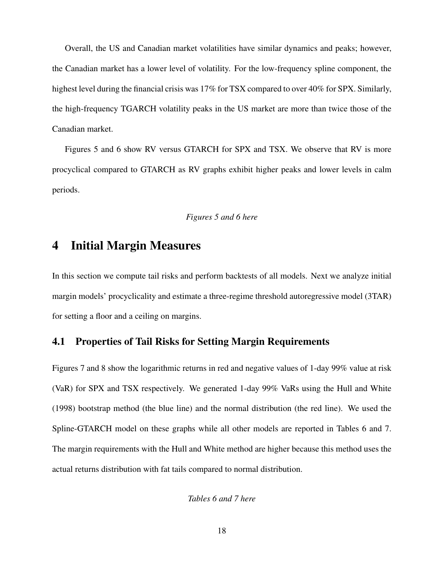Overall, the US and Canadian market volatilities have similar dynamics and peaks; however, the Canadian market has a lower level of volatility. For the low-frequency spline component, the highest level during the financial crisis was 17% for TSX compared to over 40% for SPX. Similarly, the high-frequency TGARCH volatility peaks in the US market are more than twice those of the Canadian market.

Figures 5 and 6 show RV versus GTARCH for SPX and TSX. We observe that RV is more procyclical compared to GTARCH as RV graphs exhibit higher peaks and lower levels in calm periods.

### *Figures 5 and 6 here*

### 4 Initial Margin Measures

In this section we compute tail risks and perform backtests of all models. Next we analyze initial margin models' procyclicality and estimate a three-regime threshold autoregressive model (3TAR) for setting a floor and a ceiling on margins.

### 4.1 Properties of Tail Risks for Setting Margin Requirements

Figures 7 and 8 show the logarithmic returns in red and negative values of 1-day 99% value at risk (VaR) for SPX and TSX respectively. We generated 1-day 99% VaRs using the Hull and White (1998) bootstrap method (the blue line) and the normal distribution (the red line). We used the Spline-GTARCH model on these graphs while all other models are reported in Tables 6 and 7. The margin requirements with the Hull and White method are higher because this method uses the actual returns distribution with fat tails compared to normal distribution.

*Tables 6 and 7 here*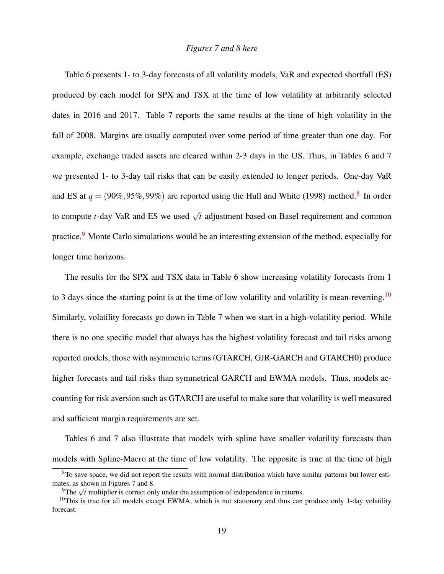#### *Figures 7 and 8 here*

Table 6 presents 1- to 3-day forecasts of all volatility models, VaR and expected shortfall (ES) produced by each model for SPX and TSX at the time of low volatility at arbitrarily selected dates in 2016 and 2017. Table 7 reports the same results at the time of high volatility in the fall of 2008. Margins are usually computed over some period of time greater than one day. For example, exchange traded assets are cleared within 2-3 days in the US. Thus, in Tables 6 and 7 we presented 1- to 3-day tail risks that can be easily extended to longer periods. One-day VaR and ES at  $q = (90\%, 95\%, 99\%)$  are reported using the Hull and White (199[8](#page-22-0)) method.<sup>8</sup> In order to compute *t*-day VaR and ES we used  $\sqrt{t}$  adjustment based on Basel requirement and common practice.<sup>[9](#page-22-1)</sup> Monte Carlo simulations would be an interesting extension of the method, especially for longer time horizons.

The results for the SPX and TSX data in Table 6 show increasing volatility forecasts from 1 to 3 days since the starting point is at the time of low volatility and volatility is mean-reverting.<sup>[10](#page-22-2)</sup> Similarly, volatility forecasts go down in Table 7 when we start in a high-volatility period. While there is no one specific model that always has the highest volatility forecast and tail risks among reported models, those with asymmetric terms (GTARCH, GJR-GARCH and GTARCH0) produce higher forecasts and tail risks than symmetrical GARCH and EWMA models. Thus, models accounting for risk aversion such as GTARCH are useful to make sure that volatility is well measured and sufficient margin requirements are set.

Tables 6 and 7 also illustrate that models with spline have smaller volatility forecasts than models with Spline-Macro at the time of low volatility. The opposite is true at the time of high

<span id="page-22-0"></span> $8$ To save space, we did not report the results with normal distribution which have similar patterns but lower estimates, as shown in Figures 7 and 8.

<span id="page-22-2"></span><span id="page-22-1"></span> $^{9}$ The  $\sqrt{t}$  multiplier is correct only under the assumption of independence in returns.

 $10$ This is true for all models except EWMA, which is not stationary and thus can produce only 1-day volatility forecast.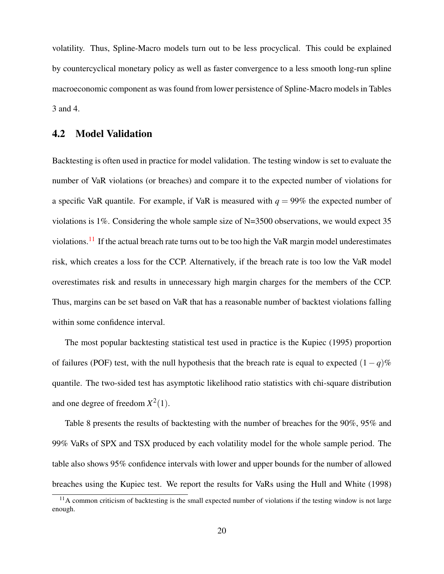volatility. Thus, Spline-Macro models turn out to be less procyclical. This could be explained by countercyclical monetary policy as well as faster convergence to a less smooth long-run spline macroeconomic component as was found from lower persistence of Spline-Macro models in Tables 3 and 4.

### 4.2 Model Validation

Backtesting is often used in practice for model validation. The testing window is set to evaluate the number of VaR violations (or breaches) and compare it to the expected number of violations for a specific VaR quantile. For example, if VaR is measured with  $q = 99\%$  the expected number of violations is 1%. Considering the whole sample size of N=3500 observations, we would expect 35 violations.<sup>[11](#page-23-0)</sup> If the actual breach rate turns out to be too high the VaR margin model underestimates risk, which creates a loss for the CCP. Alternatively, if the breach rate is too low the VaR model overestimates risk and results in unnecessary high margin charges for the members of the CCP. Thus, margins can be set based on VaR that has a reasonable number of backtest violations falling within some confidence interval.

The most popular backtesting statistical test used in practice is the Kupiec (1995) proportion of failures (POF) test, with the null hypothesis that the breach rate is equal to expected  $(1-q)\%$ quantile. The two-sided test has asymptotic likelihood ratio statistics with chi-square distribution and one degree of freedom  $X^2(1)$ .

Table 8 presents the results of backtesting with the number of breaches for the 90%, 95% and 99% VaRs of SPX and TSX produced by each volatility model for the whole sample period. The table also shows 95% confidence intervals with lower and upper bounds for the number of allowed breaches using the Kupiec test. We report the results for VaRs using the Hull and White (1998)

<span id="page-23-0"></span><sup>&</sup>lt;sup>11</sup>A common criticism of backtesting is the small expected number of violations if the testing window is not large enough.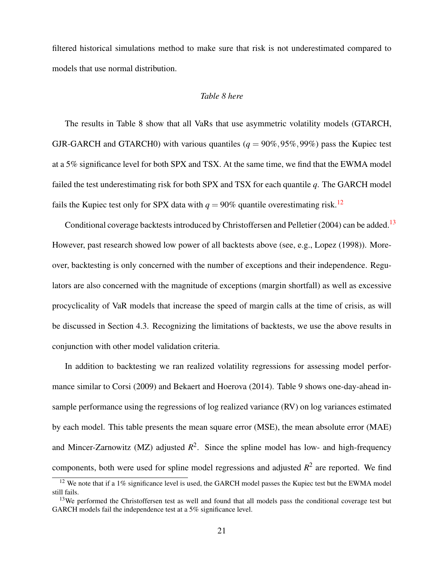filtered historical simulations method to make sure that risk is not underestimated compared to models that use normal distribution.

#### *Table 8 here*

The results in Table 8 show that all VaRs that use asymmetric volatility models (GTARCH, GJR-GARCH and GTARCH0) with various quantiles ( $q = 90\%, 95\%, 99\%$ ) pass the Kupiec test at a 5% significance level for both SPX and TSX. At the same time, we find that the EWMA model failed the test underestimating risk for both SPX and TSX for each quantile *q*. The GARCH model fails the Kupiec test only for SPX data with  $q = 90\%$  quantile overestimating risk.<sup>[12](#page-24-0)</sup>

Conditional coverage backtests introduced by Christoffersen and Pelletier (2004) can be added.<sup>[13](#page-24-1)</sup> However, past research showed low power of all backtests above (see, e.g., Lopez (1998)). Moreover, backtesting is only concerned with the number of exceptions and their independence. Regulators are also concerned with the magnitude of exceptions (margin shortfall) as well as excessive procyclicality of VaR models that increase the speed of margin calls at the time of crisis, as will be discussed in Section 4.3. Recognizing the limitations of backtests, we use the above results in conjunction with other model validation criteria.

In addition to backtesting we ran realized volatility regressions for assessing model performance similar to Corsi (2009) and Bekaert and Hoerova (2014). Table 9 shows one-day-ahead insample performance using the regressions of log realized variance (RV) on log variances estimated by each model. This table presents the mean square error (MSE), the mean absolute error (MAE) and Mincer-Zarnowitz (MZ) adjusted  $R^2$ . Since the spline model has low- and high-frequency components, both were used for spline model regressions and adjusted  $R^2$  are reported. We find

<span id="page-24-0"></span> $12$  We note that if a 1% significance level is used, the GARCH model passes the Kupiec test but the EWMA model still fails.

<span id="page-24-1"></span><sup>&</sup>lt;sup>13</sup>We performed the Christoffersen test as well and found that all models pass the conditional coverage test but GARCH models fail the independence test at a 5% significance level.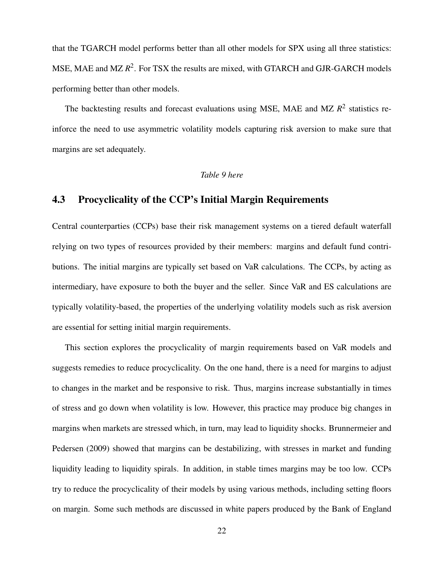that the TGARCH model performs better than all other models for SPX using all three statistics: MSE, MAE and MZ  $R^2$ . For TSX the results are mixed, with GTARCH and GJR-GARCH models performing better than other models.

The backtesting results and forecast evaluations using MSE, MAE and MZ  $R<sup>2</sup>$  statistics reinforce the need to use asymmetric volatility models capturing risk aversion to make sure that margins are set adequately.

### *Table 9 here*

### 4.3 Procyclicality of the CCP's Initial Margin Requirements

Central counterparties (CCPs) base their risk management systems on a tiered default waterfall relying on two types of resources provided by their members: margins and default fund contributions. The initial margins are typically set based on VaR calculations. The CCPs, by acting as intermediary, have exposure to both the buyer and the seller. Since VaR and ES calculations are typically volatility-based, the properties of the underlying volatility models such as risk aversion are essential for setting initial margin requirements.

This section explores the procyclicality of margin requirements based on VaR models and suggests remedies to reduce procyclicality. On the one hand, there is a need for margins to adjust to changes in the market and be responsive to risk. Thus, margins increase substantially in times of stress and go down when volatility is low. However, this practice may produce big changes in margins when markets are stressed which, in turn, may lead to liquidity shocks. Brunnermeier and Pedersen (2009) showed that margins can be destabilizing, with stresses in market and funding liquidity leading to liquidity spirals. In addition, in stable times margins may be too low. CCPs try to reduce the procyclicality of their models by using various methods, including setting floors on margin. Some such methods are discussed in white papers produced by the Bank of England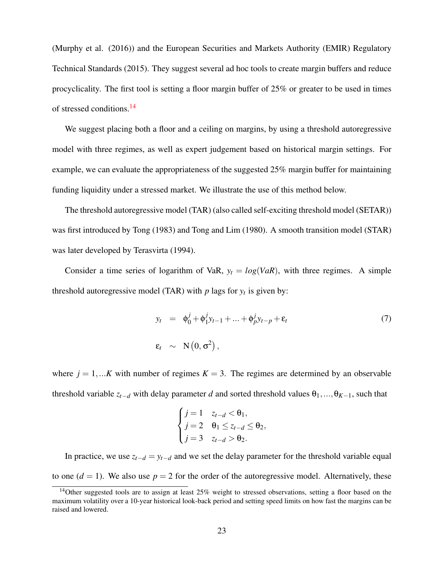(Murphy et al. (2016)) and the European Securities and Markets Authority (EMIR) Regulatory Technical Standards (2015). They suggest several ad hoc tools to create margin buffers and reduce procyclicality. The first tool is setting a floor margin buffer of 25% or greater to be used in times of stressed conditions.[14](#page-26-0)

We suggest placing both a floor and a ceiling on margins, by using a threshold autoregressive model with three regimes, as well as expert judgement based on historical margin settings. For example, we can evaluate the appropriateness of the suggested 25% margin buffer for maintaining funding liquidity under a stressed market. We illustrate the use of this method below.

The threshold autoregressive model (TAR) (also called self-exciting threshold model (SETAR)) was first introduced by Tong (1983) and Tong and Lim (1980). A smooth transition model (STAR) was later developed by Terasvirta (1994).

Consider a time series of logarithm of VaR,  $y_t = log(VaR)$ , with three regimes. A simple threshold autoregressive model (TAR) with  $p$  lags for  $y_t$  is given by:

$$
y_t = \phi_0^j + \phi_1^j y_{t-1} + \dots + \phi_p^j y_{t-p} + \varepsilon_t
$$
  
\n
$$
\varepsilon_t \sim \mathcal{N}\left(0, \sigma^2\right),
$$
\n(7)

where  $j = 1,...K$  with number of regimes  $K = 3$ . The regimes are determined by an observable threshold variable  $z_{t-d}$  with delay parameter *d* and sorted threshold values  $\theta_1, ..., \theta_{K-1}$ , such that

$$
\begin{cases}\nj = 1 & z_{t-d} < \theta_1, \\
j = 2 & \theta_1 \le z_{t-d} \le \theta_2, \\
j = 3 & z_{t-d} > \theta_2.\n\end{cases}
$$

In practice, we use  $z_{t-d} = y_{t-d}$  and we set the delay parameter for the threshold variable equal to one  $(d = 1)$ . We also use  $p = 2$  for the order of the autoregressive model. Alternatively, these

<span id="page-26-0"></span><sup>&</sup>lt;sup>14</sup>Other suggested tools are to assign at least 25% weight to stressed observations, setting a floor based on the maximum volatility over a 10-year historical look-back period and setting speed limits on how fast the margins can be raised and lowered.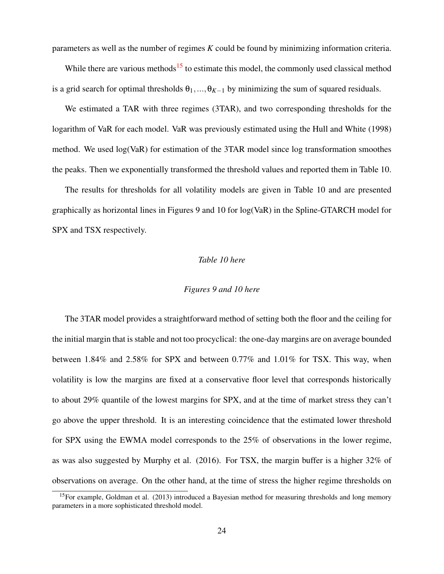parameters as well as the number of regimes *K* could be found by minimizing information criteria.

While there are various methods<sup>[15](#page-27-0)</sup> to estimate this model, the commonly used classical method is a grid search for optimal thresholds  $\theta_1, ..., \theta_{K-1}$  by minimizing the sum of squared residuals.

We estimated a TAR with three regimes (3TAR), and two corresponding thresholds for the logarithm of VaR for each model. VaR was previously estimated using the Hull and White (1998) method. We used log(VaR) for estimation of the 3TAR model since log transformation smoothes the peaks. Then we exponentially transformed the threshold values and reported them in Table 10.

The results for thresholds for all volatility models are given in Table 10 and are presented graphically as horizontal lines in Figures 9 and 10 for log(VaR) in the Spline-GTARCH model for SPX and TSX respectively.

#### *Table 10 here*

#### *Figures 9 and 10 here*

The 3TAR model provides a straightforward method of setting both the floor and the ceiling for the initial margin that is stable and not too procyclical: the one-day margins are on average bounded between 1.84% and 2.58% for SPX and between 0.77% and 1.01% for TSX. This way, when volatility is low the margins are fixed at a conservative floor level that corresponds historically to about 29% quantile of the lowest margins for SPX, and at the time of market stress they can't go above the upper threshold. It is an interesting coincidence that the estimated lower threshold for SPX using the EWMA model corresponds to the 25% of observations in the lower regime, as was also suggested by Murphy et al. (2016). For TSX, the margin buffer is a higher 32% of observations on average. On the other hand, at the time of stress the higher regime thresholds on

<span id="page-27-0"></span><sup>&</sup>lt;sup>15</sup>For example, Goldman et al. (2013) introduced a Bayesian method for measuring thresholds and long memory parameters in a more sophisticated threshold model.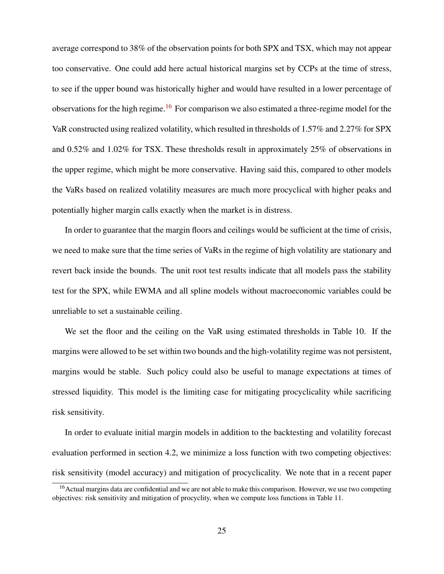average correspond to 38% of the observation points for both SPX and TSX, which may not appear too conservative. One could add here actual historical margins set by CCPs at the time of stress, to see if the upper bound was historically higher and would have resulted in a lower percentage of observations for the high regime.<sup>[16](#page-28-0)</sup> For comparison we also estimated a three-regime model for the VaR constructed using realized volatility, which resulted in thresholds of 1.57% and 2.27% for SPX and 0.52% and 1.02% for TSX. These thresholds result in approximately 25% of observations in the upper regime, which might be more conservative. Having said this, compared to other models the VaRs based on realized volatility measures are much more procyclical with higher peaks and potentially higher margin calls exactly when the market is in distress.

In order to guarantee that the margin floors and ceilings would be sufficient at the time of crisis, we need to make sure that the time series of VaRs in the regime of high volatility are stationary and revert back inside the bounds. The unit root test results indicate that all models pass the stability test for the SPX, while EWMA and all spline models without macroeconomic variables could be unreliable to set a sustainable ceiling.

We set the floor and the ceiling on the VaR using estimated thresholds in Table 10. If the margins were allowed to be set within two bounds and the high-volatility regime was not persistent, margins would be stable. Such policy could also be useful to manage expectations at times of stressed liquidity. This model is the limiting case for mitigating procyclicality while sacrificing risk sensitivity.

In order to evaluate initial margin models in addition to the backtesting and volatility forecast evaluation performed in section 4.2, we minimize a loss function with two competing objectives: risk sensitivity (model accuracy) and mitigation of procyclicality. We note that in a recent paper

<span id="page-28-0"></span><sup>&</sup>lt;sup>16</sup>Actual margins data are confidential and we are not able to make this comparison. However, we use two competing objectives: risk sensitivity and mitigation of procyclity, when we compute loss functions in Table 11.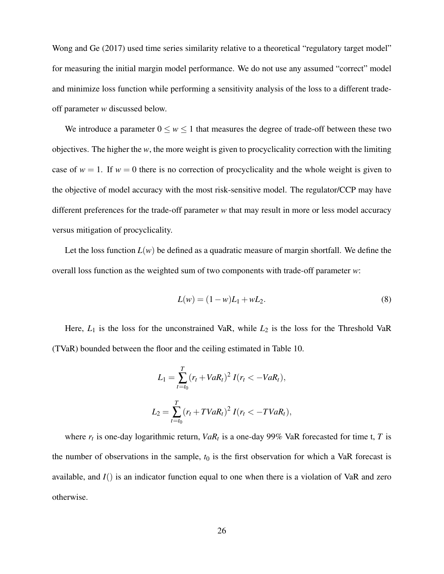Wong and Ge (2017) used time series similarity relative to a theoretical "regulatory target model" for measuring the initial margin model performance. We do not use any assumed "correct" model and minimize loss function while performing a sensitivity analysis of the loss to a different tradeoff parameter *w* discussed below.

We introduce a parameter  $0 \le w \le 1$  that measures the degree of trade-off between these two objectives. The higher the *w*, the more weight is given to procyclicality correction with the limiting case of  $w = 1$ . If  $w = 0$  there is no correction of procyclicality and the whole weight is given to the objective of model accuracy with the most risk-sensitive model. The regulator/CCP may have different preferences for the trade-off parameter *w* that may result in more or less model accuracy versus mitigation of procyclicality.

Let the loss function  $L(w)$  be defined as a quadratic measure of margin shortfall. We define the overall loss function as the weighted sum of two components with trade-off parameter *w*:

$$
L(w) = (1 - w)L_1 + wL_2.
$$
 (8)

Here,  $L_1$  is the loss for the unconstrained VaR, while  $L_2$  is the loss for the Threshold VaR (TVaR) bounded between the floor and the ceiling estimated in Table 10.

$$
L_1 = \sum_{t=t_0}^{T} (r_t + VaR_t)^2 I(r_t < -VaR_t),
$$
  

$$
L_2 = \sum_{t=t_0}^{T} (r_t + TVaR_t)^2 I(r_t < -TVaR_t),
$$

where  $r_t$  is one-day logarithmic return,  $VaR_t$  is a one-day 99% VaR forecasted for time t, *T* is the number of observations in the sample,  $t_0$  is the first observation for which a VaR forecast is available, and *I*() is an indicator function equal to one when there is a violation of VaR and zero otherwise.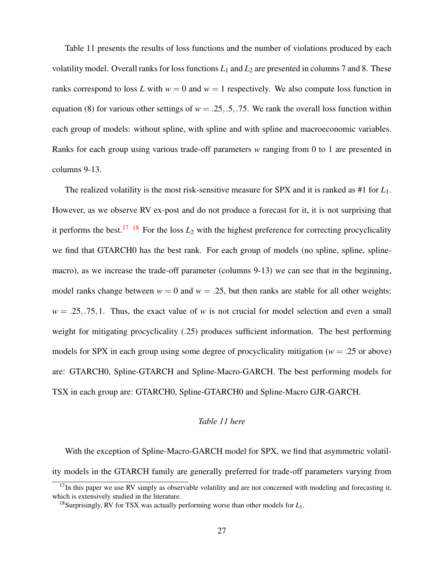Table 11 presents the results of loss functions and the number of violations produced by each volatility model. Overall ranks for loss functions  $L_1$  and  $L_2$  are presented in columns 7 and 8. These ranks correspond to loss *L* with  $w = 0$  and  $w = 1$  respectively. We also compute loss function in equation (8) for various other settings of  $w = .25, .5, .75$ . We rank the overall loss function within each group of models: without spline, with spline and with spline and macroeconomic variables. Ranks for each group using various trade-off parameters *w* ranging from 0 to 1 are presented in columns 9-13.

The realized volatility is the most risk-sensitive measure for SPX and it is ranked as #1 for *L*1. However, as we observe RV ex-post and do not produce a forecast for it, it is not surprising that it performs the best.<sup>[17](#page-30-0)</sup> <sup>[18](#page-30-1)</sup> For the loss  $L_2$  with the highest preference for correcting procyclicality we find that GTARCH0 has the best rank. For each group of models (no spline, spline, splinemacro), as we increase the trade-off parameter (columns 9-13) we can see that in the beginning, model ranks change between  $w = 0$  and  $w = .25$ , but then ranks are stable for all other weights:  $w = 0.25, 0.75, 1$ . Thus, the exact value of *w* is not crucial for model selection and even a small weight for mitigating procyclicality (.25) produces sufficient information. The best performing models for SPX in each group using some degree of procyclicality mitigation ( $w = .25$  or above) are: GTARCH0, Spline-GTARCH and Spline-Macro-GARCH. The best performing models for TSX in each group are: GTARCH0, Spline-GTARCH0 and Spline-Macro GJR-GARCH.

#### *Table 11 here*

With the exception of Spline-Macro-GARCH model for SPX, we find that asymmetric volatility models in the GTARCH family are generally preferred for trade-off parameters varying from

<span id="page-30-0"></span> $17$ In this paper we use RV simply as observable volatility and are not concerned with modeling and forecasting it, which is extensively studied in the literature.

<span id="page-30-1"></span><sup>18</sup>Surprisingly, RV for TSX was actually performing worse than other models for *L*1.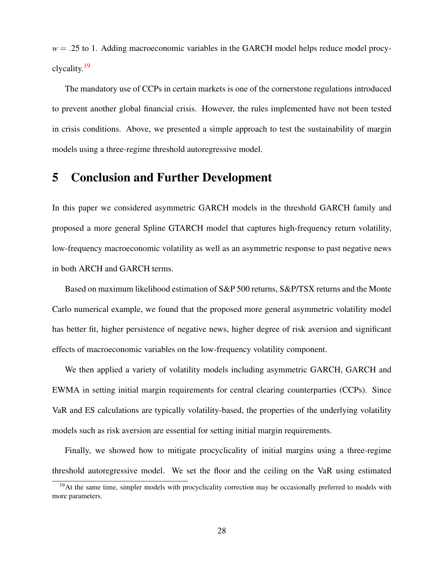$w = 0.25$  to 1. Adding macroeconomic variables in the GARCH model helps reduce model procyclycality.[19](#page-31-0)

The mandatory use of CCPs in certain markets is one of the cornerstone regulations introduced to prevent another global financial crisis. However, the rules implemented have not been tested in crisis conditions. Above, we presented a simple approach to test the sustainability of margin models using a three-regime threshold autoregressive model.

### 5 Conclusion and Further Development

In this paper we considered asymmetric GARCH models in the threshold GARCH family and proposed a more general Spline GTARCH model that captures high-frequency return volatility, low-frequency macroeconomic volatility as well as an asymmetric response to past negative news in both ARCH and GARCH terms.

Based on maximum likelihood estimation of S&P 500 returns, S&P/TSX returns and the Monte Carlo numerical example, we found that the proposed more general asymmetric volatility model has better fit, higher persistence of negative news, higher degree of risk aversion and significant effects of macroeconomic variables on the low-frequency volatility component.

We then applied a variety of volatility models including asymmetric GARCH, GARCH and EWMA in setting initial margin requirements for central clearing counterparties (CCPs). Since VaR and ES calculations are typically volatility-based, the properties of the underlying volatility models such as risk aversion are essential for setting initial margin requirements.

Finally, we showed how to mitigate procyclicality of initial margins using a three-regime threshold autoregressive model. We set the floor and the ceiling on the VaR using estimated

<span id="page-31-0"></span><sup>&</sup>lt;sup>19</sup>At the same time, simpler models with procyclicality correction may be occasionally preferred to models with more parameters.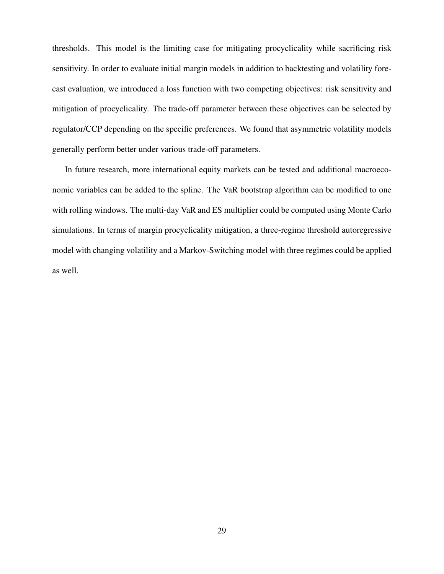thresholds. This model is the limiting case for mitigating procyclicality while sacrificing risk sensitivity. In order to evaluate initial margin models in addition to backtesting and volatility forecast evaluation, we introduced a loss function with two competing objectives: risk sensitivity and mitigation of procyclicality. The trade-off parameter between these objectives can be selected by regulator/CCP depending on the specific preferences. We found that asymmetric volatility models generally perform better under various trade-off parameters.

In future research, more international equity markets can be tested and additional macroeconomic variables can be added to the spline. The VaR bootstrap algorithm can be modified to one with rolling windows. The multi-day VaR and ES multiplier could be computed using Monte Carlo simulations. In terms of margin procyclicality mitigation, a three-regime threshold autoregressive model with changing volatility and a Markov-Switching model with three regimes could be applied as well.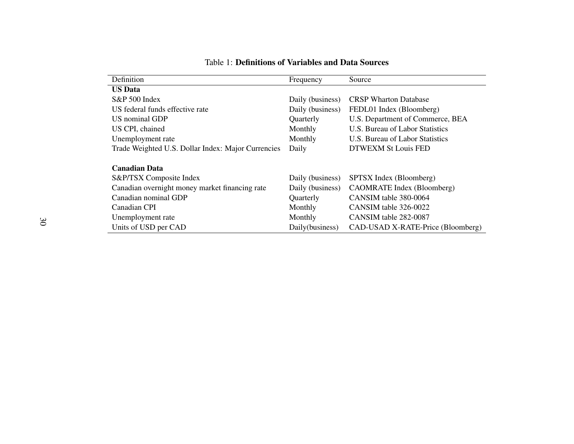| Definition                                         | Frequency        | Source                            |
|----------------------------------------------------|------------------|-----------------------------------|
| <b>US Data</b>                                     |                  |                                   |
| S&P 500 Index                                      | Daily (business) | <b>CRSP</b> Wharton Database      |
| US federal funds effective rate                    | Daily (business) | FEDL01 Index (Bloomberg)          |
| <b>US</b> nominal GDP                              | Quarterly        | U.S. Department of Commerce, BEA  |
| US CPI, chained                                    | Monthly          | U.S. Bureau of Labor Statistics   |
| Unemployment rate                                  | Monthly          | U.S. Bureau of Labor Statistics   |
| Trade Weighted U.S. Dollar Index: Major Currencies | Daily            | DTWEXM St Louis FED               |
|                                                    |                  |                                   |
| <b>Canadian Data</b>                               |                  |                                   |
| S&P/TSX Composite Index                            | Daily (business) | SPTSX Index (Bloomberg)           |
| Canadian overnight money market financing rate     | Daily (business) | CAOMRATE Index (Bloomberg)        |
| Canadian nominal GDP                               | Quarterly        | CANSIM table 380-0064             |
| Canadian CPI                                       | Monthly          | CANSIM table 326-0022             |
| Unemployment rate                                  | Monthly          | CANSIM table 282-0087             |
| Units of USD per CAD                               | Daily(business)  | CAD-USAD X-RATE-Price (Bloomberg) |

#### Table 1: Definitions of Variables and Data Sources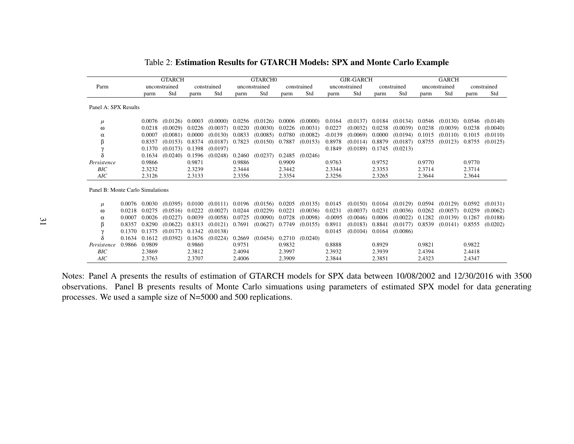|                                  | <b>GTARCH</b><br>unconstrained<br>constrained |        |                     |        | GTARCH <sub>0</sub> |        |                              |        | <b>GJR-GARCH</b> |           |                   |        | <b>GARCH</b> |        |               |        |             |
|----------------------------------|-----------------------------------------------|--------|---------------------|--------|---------------------|--------|------------------------------|--------|------------------|-----------|-------------------|--------|--------------|--------|---------------|--------|-------------|
| Parm                             |                                               |        |                     |        |                     |        | unconstrained                |        | constrained      |           | unconstrained     |        | constrained  |        | unconstrained |        | constrained |
|                                  |                                               | parm   | Std                 | parm   | Std                 | parm   | Std                          | parm   | Std              | parm      | Std               | parm   | Std          | parm   | Std           | parm   | Std         |
| Panel A: SPX Results             |                                               |        |                     |        |                     |        |                              |        |                  |           |                   |        |              |        |               |        |             |
| $\mu$                            |                                               |        | $0.0076$ $(0.0126)$ | 0.0003 | (0.0000)            | 0.0256 | $(0.0126)$ 0.0006            |        | (0.0000)         | 0.0164    | (0.0137)          | 0.0184 | (0.0134)     | 0.0546 | (0.0130)      | 0.0546 | (0.0140)    |
| ω                                |                                               | 0.0218 | (0.0029)            | 0.0226 | (0.0037)            | 0.0220 | (0.0030)                     | 0.0226 | (0.0031)         | 0.0227    | (0.0032)          | 0.0238 | (0.0039)     | 0.0238 | (0.0039)      | 0.0238 | (0.0040)    |
| α                                |                                               | 0.0007 | (0.0081)            | 0.0000 | (0.0130)            | 0.0833 | (0.0085)                     | 0.0780 | (0.0082)         | $-0.0139$ | (0.0069)          | 0.0000 | (0.0194)     | 0.1015 | (0.0110)      | 0.1015 | (0.0110)    |
| β                                |                                               | 0.8357 | (0.0153)            | 0.8374 | (0.0187)            | 0.7823 | $(0.0150)$ 0.7887            |        | (0.0153)         | 0.8978    | (0.0114)          | 0.8879 | (0.0187)     | 0.8755 | (0.0123)      | 0.8755 | (0.0125)    |
| $\gamma$                         |                                               | 0.1370 | $(0.0173)$ 0.1398   |        | (0.0197)            |        |                              |        |                  | 0.1849    | $(0.0189)$ 0.1745 |        | (0.0213)     |        |               |        |             |
| δ                                |                                               | 0.1634 | (0.0240)            | 0.1596 | (0.0248)            | 0.2460 | (0.0237)                     | 0.2485 | (0.0246)         |           |                   |        |              |        |               |        |             |
| Persistence                      |                                               | 0.9866 |                     | 0.9871 |                     | 0.9886 |                              | 0.9909 |                  | 0.9763    |                   | 0.9752 |              | 0.9770 |               | 0.9770 |             |
| BIC                              |                                               | 2.3232 |                     | 2.3239 |                     | 2.3444 |                              | 2.3442 |                  | 2.3344    |                   | 2.3353 |              | 2.3714 |               | 2.3714 |             |
| AIC                              |                                               | 2.3126 |                     | 2.3133 |                     | 2.3356 |                              | 2.3354 |                  | 2.3256    |                   | 2.3265 |              | 2.3644 |               | 2.3644 |             |
| Panel B: Monte Carlo Simulations |                                               |        |                     |        |                     |        |                              |        |                  |           |                   |        |              |        |               |        |             |
| $\mu$                            | 0.0076                                        | 0.0030 | (0.0395)            | 0.0100 | (0.0111)            |        | $0.0196$ $(0.0156)$ $0.0205$ |        | (0.0135)         | 0.0145    | (0.0150)          | 0.0164 | (0.0129)     | 0.0594 | (0.0129)      | 0.0592 | (0.0131)    |
| ω                                | 0.0218                                        | 0.0275 | (0.0516)            | 0.0222 | (0.0027)            | 0.0244 | (0.0229)                     | 0.0221 | (0.0036)         | 0.0231    | (0.0037)          | 0.0231 | (0.0036)     | 0.0262 | (0.0057)      | 0.0259 | (0.0062)    |
| α                                | 0.0007                                        | 0.0026 | (0.0227)            | 0.0039 | (0.0058)            | 0.0725 | (0.0090)                     | 0.0728 | (0.0098)         | $-0.0095$ | (0.0046)          | 0.0006 | (0.0022)     | 0.1282 | (0.0139)      | 0.1267 | (0.0188)    |
| β                                | 0.8357                                        | 0.8290 | (0.0622)            | 0.8313 | (0.0121)            | 0.7691 | $(0.0627)$ 0.7749            |        | (0.0155)         | 0.8911    | (0.0183)          | 0.8841 | (0.0177)     | 0.8539 | (0.0141)      | 0.8555 | (0.0202)    |
| $\gamma$                         | 0.1370                                        | 0.1375 | (0.0177)            | 0.1342 | (0.0138)            |        |                              |        |                  | 0.0145    | (0.0104)          | 0.0164 | (0.0086)     |        |               |        |             |
| δ                                | 0.1634                                        | 0.1612 | (0.0392)            | 0.1676 | (0.0224)            | 0.2669 | (0.0454)                     | 0.2710 | (0.0240)         |           |                   |        |              |        |               |        |             |
| Persistence                      | 0.9866                                        | 0.9809 |                     | 0.9860 |                     | 0.9751 |                              | 0.9832 |                  | 0.8888    |                   | 0.8929 |              | 0.9821 |               | 0.9822 |             |
| BIC                              |                                               | 2.3869 |                     | 2.3812 |                     | 2.4094 |                              | 2.3997 |                  | 2.3932    |                   | 2.3939 |              | 2.4394 |               | 2.4418 |             |
| AIC                              |                                               | 2.3763 |                     | 2.3707 |                     | 2.4006 |                              | 2.3909 |                  | 2.3844    |                   | 2.3851 |              | 2.4323 |               | 2.4347 |             |

Table 2: Estimation Results for GTARCH Models: SPX and Monte Carlo Example

Notes: Panel A presents the results of estimation of GTARCH models for SPX data between 10/08/2002 and 12/30/2016 with 3500 observations. Panel B presents results of Monte Carlo simuations using parameters of estimated SPX model for data generatingprocesses. We used <sup>a</sup> sample size of N=5000 and 500 replications.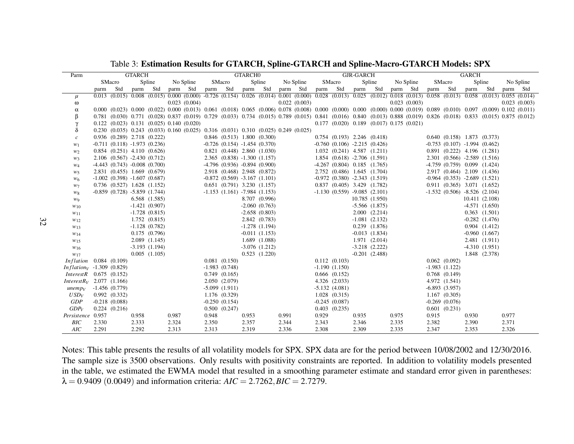Table 3: Estimation Results for GTARCH, Spline-GTARCH and Spline-Macro-GTARCH Models: SPX

| Parm                               |          |                                                       | GTARCH   |                    |       |                                                                                                             |          |                   | GTARCH <sub>0</sub> |                                       |          |              |       |                                                                                                                                                                                                                         | GJR-GARCH |                    |       |              |          |                                       | <b>GARCH</b> |                   |       |              |
|------------------------------------|----------|-------------------------------------------------------|----------|--------------------|-------|-------------------------------------------------------------------------------------------------------------|----------|-------------------|---------------------|---------------------------------------|----------|--------------|-------|-------------------------------------------------------------------------------------------------------------------------------------------------------------------------------------------------------------------------|-----------|--------------------|-------|--------------|----------|---------------------------------------|--------------|-------------------|-------|--------------|
|                                    |          | SMacro                                                |          | Spline             |       | No Spline                                                                                                   |          | SMacro            |                     | Spline                                |          | No Spline    |       | SMacro                                                                                                                                                                                                                  |           | Spline             |       | No Spline    |          | SMacro                                |              | Spline            |       | No Spline    |
|                                    | parm Std |                                                       | parm Std |                    |       | parm Std                                                                                                    | parm Std |                   |                     | parm Std                              | parm Std |              |       | parm Std                                                                                                                                                                                                                | parm Std  |                    |       | parm Std     | parm Std |                                       | parm         | Std               |       | parm Std     |
| $\mu$                              |          |                                                       |          |                    |       |                                                                                                             |          |                   |                     |                                       |          |              |       | $0.013$ (0.015) $0.008$ (0.015) $0.000$ (0.000) $-0.726$ (0.154) $0.026$ (0.014) $0.001$ (0.000) $0.028$ (0.013) $0.025$ (0.012) $0.018$ (0.013) $0.058$ (0.013) $0.055$ (0.014) $0.055$ (0.014)                        |           |                    |       |              |          |                                       |              |                   |       |              |
| $\omega$                           |          |                                                       |          |                    |       | 0.023(0.004)                                                                                                |          |                   |                     |                                       |          | 0.022(0.003) |       |                                                                                                                                                                                                                         |           |                    |       | 0.023(0.003) |          |                                       |              |                   |       | 0.023(0.003) |
| $\alpha$                           |          |                                                       |          |                    |       |                                                                                                             |          |                   |                     |                                       |          |              |       | $0.000$ $(0.023)$ $0.000$ $(0.022)$ $0.000$ $(0.013)$ $0.061$ $(0.018)$ $0.065$ $(0.006)$ $0.078$ $(0.008)$ $0.000$ $(0.000)$ $0.000$ $(0.000)$ $0.000$ $(0.001)$ $0.089$ $(0.010)$ $0.097$ $(0.009)$ $0.102$ $(0.011)$ |           |                    |       |              |          |                                       |              |                   |       |              |
| β                                  |          |                                                       |          |                    |       |                                                                                                             |          |                   |                     |                                       |          |              |       | $0.781$ (0.030) $0.771$ (0.028) 0.837 (0.019) 0.729 (0.033) 0.734 (0.015) 0.789 (0.015) 0.841 (0.016) 0.840 (0.013) 0.888 (0.019) 0.826 (0.018) 0.833 (0.015) 0.875 (0.012)                                             |           |                    |       |              |          |                                       |              |                   |       |              |
|                                    |          | $0.122$ $(0.023)$ $0.131$ $(0.025)$ $0.140$ $(0.020)$ |          |                    |       |                                                                                                             |          |                   |                     |                                       |          |              |       | $0.177$ $(0.020)$ $0.189$ $(0.017)$ $0.175$ $(0.021)$                                                                                                                                                                   |           |                    |       |              |          |                                       |              |                   |       |              |
| δ                                  |          |                                                       |          |                    |       | $0.230$ $(0.035)$ $0.243$ $(0.033)$ $0.160$ $(0.025)$ $0.316$ $(0.031)$ $0.310$ $(0.025)$ $0.249$ $(0.025)$ |          |                   |                     |                                       |          |              |       |                                                                                                                                                                                                                         |           |                    |       |              |          |                                       |              |                   |       |              |
| $\mathcal{C}$                      |          | $0.936$ $(0.289)$ 2.718 $(0.222)$                     |          |                    |       |                                                                                                             |          |                   |                     | $0.846$ $(0.513)$ $1.800$ $(0.300)$   |          |              |       | $0.754$ $(0.193)$ $2.246$ $(0.418)$                                                                                                                                                                                     |           |                    |       |              |          | $0.640$ $(0.158)$ 1.873 $(0.373)$     |              |                   |       |              |
| $W_1$                              |          | $-0.711$ $(0.118)$ $-1.973$ $(0.236)$                 |          |                    |       |                                                                                                             |          |                   |                     | $-0.726$ (0.154) $-1.454$ (0.370)     |          |              |       | $-0.760$ $(0.106)$ $-2.215$ $(0.426)$                                                                                                                                                                                   |           |                    |       |              |          | $-0.753$ $(0.107)$ $-1.994$ $(0.462)$ |              |                   |       |              |
| W <sub>2</sub>                     |          | $0.854$ $(0.251)$ $4.110$ $(0.626)$                   |          |                    |       |                                                                                                             |          |                   |                     | $0.821$ $(0.448)$ $2.860$ $(1.030)$   |          |              |       | $1.032$ $(0.241)$ $4.587$ $(1.211)$                                                                                                                                                                                     |           |                    |       |              |          | $0.891$ $(0.222)$ 4.196 $(1.281)$     |              |                   |       |              |
| $W_3$                              |          | $2.106$ $(0.567)$ $-2.430$ $(0.712)$                  |          |                    |       |                                                                                                             |          |                   |                     | $2.365$ $(0.838) -1.300$ $(1.157)$    |          |              |       | $1.854$ $(0.618)$ $-2.706$ $(1.591)$                                                                                                                                                                                    |           |                    |       |              |          | $2.301$ $(0.566)$ $-2.589$ $(1.516)$  |              |                   |       |              |
| $W_4$                              |          | $-4.443$ $(0.743)$ $-0.008$ $(0.700)$                 |          |                    |       |                                                                                                             |          |                   |                     | $-4.796$ (0.936) $-0.894$ (0.900)     |          |              |       | $-4.267$ (0.804) 0.185 (1.765)                                                                                                                                                                                          |           |                    |       |              |          | $-4.759$ $(0.759)$ $0.099$ $(1.424)$  |              |                   |       |              |
| $W_5$                              |          | 2.831 (0.455) 1.669 (0.679)                           |          |                    |       |                                                                                                             |          |                   |                     | 2.918 (0.468) 2.948 (0.872)           |          |              |       | 2.752 (0.486) 1.645 (1.704)                                                                                                                                                                                             |           |                    |       |              |          | 2.917 (0.464) 2.109 (1.436)           |              |                   |       |              |
| $W_6$                              |          | $-1.002$ (0.398) $-1.607$ (0.687)                     |          |                    |       |                                                                                                             |          |                   |                     | $-0.872$ $(0.569)$ $-3.167$ $(1.101)$ |          |              |       | $-0.972$ $(0.380)$ $-2.343$ $(1.519)$                                                                                                                                                                                   |           |                    |       |              |          | $-0.964$ $(0.353)$ $-2.689$ $(1.521)$ |              |                   |       |              |
| $w_7$                              |          | $0.736$ $(0.527)$ 1.628 $(1.152)$                     |          |                    |       |                                                                                                             |          |                   |                     | $0.651$ $(0.791)$ $3.230$ $(1.157)$   |          |              |       | $0.837$ $(0.405)$ $3.429$ $(1.782)$                                                                                                                                                                                     |           |                    |       |              |          | $0.911$ $(0.365)$ $3.071$ $(1.652)$   |              |                   |       |              |
| $W\mathbf{8}$                      |          | $-0.859$ (0.728) $-5.859$ (1.744)                     |          |                    |       |                                                                                                             |          |                   |                     | $-1.153$ $(1.161)$ $-7.984$ $(1.153)$ |          |              |       | $-1.130(0.559) -9.085(2.101)$                                                                                                                                                                                           |           |                    |       |              |          | $-1.532$ (0.506) $-8.526$ (2.104)     |              |                   |       |              |
| W9                                 |          |                                                       |          | $6.568$ $(1.585)$  |       |                                                                                                             |          |                   |                     | 8.707 (0.996)                         |          |              |       |                                                                                                                                                                                                                         |           | 10.785 (1.950)     |       |              |          |                                       |              | 10.411 (2.108)    |       |              |
| $w_{10}$                           |          |                                                       |          | $-1.421(0.907)$    |       |                                                                                                             |          |                   |                     | $-2.060(0.763)$                       |          |              |       |                                                                                                                                                                                                                         |           | $-5.566$ $(1.875)$ |       |              |          |                                       |              | $-4.571(1.650)$   |       |              |
| $w_{11}$                           |          |                                                       |          | $-1.728(0.815)$    |       |                                                                                                             |          |                   |                     | $-2.658(0.803)$                       |          |              |       |                                                                                                                                                                                                                         |           | 2.000(2.214)       |       |              |          |                                       |              | $0.363$ $(1.501)$ |       |              |
| $w_{12}$                           |          |                                                       |          | 1.752(0.815)       |       |                                                                                                             |          |                   |                     | 2.842 (0.783)                         |          |              |       |                                                                                                                                                                                                                         |           | $-1.081(2.132)$    |       |              |          |                                       |              | $-0.282(1.476)$   |       |              |
| $W_{13}$                           |          |                                                       |          | $-1.128$ $(0.782)$ |       |                                                                                                             |          |                   |                     | $-1.278(1.194)$                       |          |              |       |                                                                                                                                                                                                                         |           | $0.239$ $(1.876)$  |       |              |          |                                       |              | $0.904$ $(1.412)$ |       |              |
| $w_{14}$                           |          |                                                       |          | $0.175$ $(0.796)$  |       |                                                                                                             |          |                   |                     | $-0.011(1.153)$                       |          |              |       |                                                                                                                                                                                                                         |           | $-0.013$ $(1.834)$ |       |              |          |                                       |              | $-0.960(1.667)$   |       |              |
| $w_{15}$                           |          |                                                       |          | 2.089(1.145)       |       |                                                                                                             |          |                   |                     | 1.689 (1.088)                         |          |              |       |                                                                                                                                                                                                                         |           | 1.971 (2.014)      |       |              |          |                                       |              | 2.481 (1.911)     |       |              |
| $W_{16}$                           |          |                                                       |          | $-3.193(1.194)$    |       |                                                                                                             |          |                   |                     | $-3.076$ $(1.212)$                    |          |              |       |                                                                                                                                                                                                                         |           | $-3.218$ $(2.222)$ |       |              |          |                                       |              | $-4.310(1.951)$   |       |              |
| W17                                |          |                                                       |          | $0.005$ $(1.105)$  |       |                                                                                                             |          |                   |                     | $0.523$ $(1.220)$                     |          |              |       |                                                                                                                                                                                                                         |           | $-0.201$ $(2.488)$ |       |              |          |                                       |              | 1.848 (2.378)     |       |              |
| <i>Inflation</i> $0.084$ $(0.109)$ |          |                                                       |          |                    |       |                                                                                                             |          | $0.081$ $(0.150)$ |                     |                                       |          |              |       | 0.112(0.103)                                                                                                                                                                                                            |           |                    |       |              |          | $0.062$ $(0.092)$                     |              |                   |       |              |
| <i>Inflationy</i> -1.309 $(0.829)$ |          |                                                       |          |                    |       |                                                                                                             |          | $-1.983(0.748)$   |                     |                                       |          |              |       | $-1.190(1.150)$                                                                                                                                                                                                         |           |                    |       |              |          | $-1.983(1.122)$                       |              |                   |       |              |
| $InterestR$ 0.675 (0.152)          |          |                                                       |          |                    |       |                                                                                                             |          | 0.749(0.165)      |                     |                                       |          |              |       | $0.666$ $(0.152)$                                                                                                                                                                                                       |           |                    |       |              |          | $0.768$ $(0.149)$                     |              |                   |       |              |
| $InterestR_V$ 2.077 (1.166)        |          |                                                       |          |                    |       |                                                                                                             |          | 2.050(2.079)      |                     |                                       |          |              |       | $4.326$ $(2.033)$                                                                                                                                                                                                       |           |                    |       |              |          | 4.972 (1.541)                         |              |                   |       |              |
| unemp <sub>V</sub>                 |          | $-1.456(0.779)$                                       |          |                    |       |                                                                                                             |          | $-5.099(1.911)$   |                     |                                       |          |              |       | $-5.132(4.081)$                                                                                                                                                                                                         |           |                    |       |              |          | $-6.893(3.957)$                       |              |                   |       |              |
| $USD_V$                            |          | 0.992(0.332)                                          |          |                    |       |                                                                                                             |          | 1.176 (0.329)     |                     |                                       |          |              |       | $1.028$ $(0.315)$                                                                                                                                                                                                       |           |                    |       |              |          | 1.167(0.305)                          |              |                   |       |              |
| GDP                                |          | $-0.218(0.088)$                                       |          |                    |       |                                                                                                             |          | $-0.250(0.154)$   |                     |                                       |          |              |       | $-0.245(0.087)$                                                                                                                                                                                                         |           |                    |       |              |          | $-0.269(0.076)$                       |              |                   |       |              |
| GDP <sub>V</sub>                   |          | $0.224$ $(0.216)$                                     |          |                    |       |                                                                                                             |          | 0.500(0.247)      |                     |                                       |          |              |       | $0.403$ $(0.235)$                                                                                                                                                                                                       |           |                    |       |              |          | $0.601$ $(0.231)$                     |              |                   |       |              |
| Persistence 0.957                  |          |                                                       | 0.958    |                    | 0.987 |                                                                                                             | 0.948    |                   | 0.953               |                                       | 0.991    |              | 0.929 |                                                                                                                                                                                                                         | 0.935     |                    | 0.975 |              | 0.915    |                                       | 0.930        |                   | 0.977 |              |
| BIC                                | 2.330    |                                                       | 2.333    |                    | 2.324 |                                                                                                             | 2.350    |                   | 2.357               |                                       | 2.344    |              | 2.343 |                                                                                                                                                                                                                         | 2.346     |                    | 2.335 |              | 2.382    |                                       | 2.390        |                   | 2.371 |              |
| AIC                                | 2.291    |                                                       | 2.292    |                    | 2.313 |                                                                                                             | 2.313    |                   | 2.319               |                                       | 2.336    |              | 2.308 |                                                                                                                                                                                                                         | 2.309     |                    | 2.335 |              | 2.347    |                                       | 2.353        |                   | 2.326 |              |

Notes: This table presents the results of all volatility models for SPX. SPX data are for the period between 10/08/2002 and 12/30/2016. The sample size is 3500 observations. Only results with positivity constraints are reported. In addition to volatility models presented in the table, we estimated the EWMA model that resulted in <sup>a</sup> smoothing parameter estimate and standard error given in parentheses: $\lambda = 0.9409 (0.0049)$  and information criteria:  $AIC = 2.7262, BIC = 2.7279$ .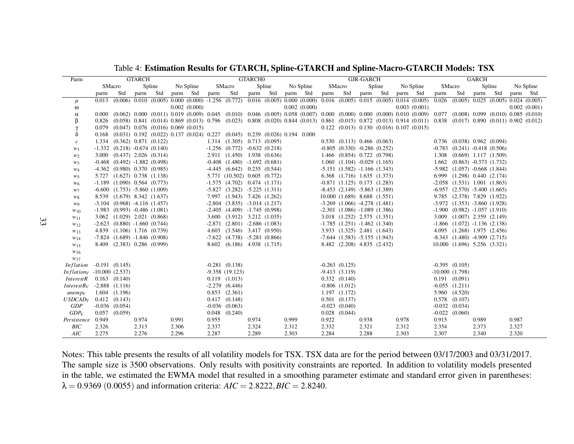| Parm                                                       |        |                                                                      | <b>GTARCH</b> |        |       |                   |       |                                                                      | <b>GTARCHO</b> |          |                                                                                                                                                                                                 |       |                                                                       | GJR-GARCH |          |       |              |                  |                                                                               | <b>GARCH</b> |     |       |                                                       |
|------------------------------------------------------------|--------|----------------------------------------------------------------------|---------------|--------|-------|-------------------|-------|----------------------------------------------------------------------|----------------|----------|-------------------------------------------------------------------------------------------------------------------------------------------------------------------------------------------------|-------|-----------------------------------------------------------------------|-----------|----------|-------|--------------|------------------|-------------------------------------------------------------------------------|--------------|-----|-------|-------------------------------------------------------|
|                                                            | SMacro |                                                                      |               | Spline |       | No Spline         |       | SMacro                                                               |                | Spline   | No Spline                                                                                                                                                                                       |       | SMacro                                                                |           | Spline   |       | No Spline    | SMacro           |                                                                               | Spline       |     |       | No Spline                                             |
|                                                            | parm   | Std                                                                  | parm Std      |        |       | parm Std          | parm  | Std                                                                  |                | parm Std | parm Std                                                                                                                                                                                        |       | parm Std                                                              |           | parm Std |       | parm Std     | parm             | Std                                                                           | parm         | Std |       | parm Std                                              |
| $\mu$                                                      |        |                                                                      |               |        |       |                   |       |                                                                      |                |          | $0.013$ $(0.006)$ $0.010$ $(0.005)$ $0.000$ $(0.000)$ $-1.256$ $(0.772)$ $0.016$ $(0.005)$ $0.000$ $(0.000)$ $0.016$ $(0.005)$ $0.015$ $(0.005)$ $0.014$ $(0.005)$                              |       |                                                                       |           |          |       |              |                  |                                                                               |              |     |       | $0.026$ $(0.005)$ $0.025$ $(0.005)$ $0.024$ $(0.005)$ |
| $\omega$                                                   |        |                                                                      |               |        |       | $0.002$ $(0.000)$ |       |                                                                      |                |          | $0.002$ $(0.000)$                                                                                                                                                                               |       |                                                                       |           |          |       | 0.003(0.001) |                  |                                                                               |              |     |       | 0.002(0.001)                                          |
| $\alpha$                                                   |        |                                                                      |               |        |       |                   |       |                                                                      |                |          | $0.000$ (0.062) $0.000$ (0.011) $0.019$ (0.009) $0.045$ (0.010) $0.046$ (0.005) $0.058$ (0.007) $0.000$ (0.000) $0.000$ (0.000) $0.010$ (0.009) $0.077$ (0.008) $0.099$ (0.010) $0.085$ (0.010) |       |                                                                       |           |          |       |              |                  |                                                                               |              |     |       |                                                       |
| β                                                          |        |                                                                      |               |        |       |                   |       |                                                                      |                |          | 0.826 (0.058) 0.841 (0.014) 0.869 (0.013) 0.796 (0.023) 0.808 (0.020) 0.844 (0.013) 0.861 (0.015) 0.872 (0.013) 0.914 (0.011) 0.838 (0.017) 0.890 (0.011) 0.902 (0.012)                         |       |                                                                       |           |          |       |              |                  |                                                                               |              |     |       |                                                       |
| $\gamma$                                                   |        | $0.079$ $(0.047)$ $0.076$ $(0.016)$ $0.069$ $(0.015)$                |               |        |       |                   |       |                                                                      |                |          |                                                                                                                                                                                                 |       | $0.122$ $(0.013)$ $0.130$ $(0.016)$ $0.107$ $(0.015)$                 |           |          |       |              |                  |                                                                               |              |     |       |                                                       |
| δ                                                          |        |                                                                      |               |        |       |                   |       |                                                                      |                |          | $0.168$ $(0.031)$ $0.192$ $(0.022)$ $0.137$ $(0.024)$ $0.227$ $(0.045)$ $0.239$ $(0.026)$ $0.194$ $0.000$                                                                                       |       |                                                                       |           |          |       |              |                  |                                                                               |              |     |       |                                                       |
| $\mathcal{C}$                                              |        | 1.334 (0.362) 0.871 (0.122)                                          |               |        |       |                   |       | $1.314$ $(1.305)$ $0.713$ $(0.095)$                                  |                |          |                                                                                                                                                                                                 |       | $0.530$ $(0.113)$ $0.466$ $(0.063)$                                   |           |          |       |              |                  | $0.736$ $(0.038)$ $0.962$ $(0.094)$                                           |              |     |       |                                                       |
| $W_1$                                                      |        | $-1.332$ $(0.218)$ $-0.674$ $(0.140)$                                |               |        |       |                   |       | $-1.256$ (0.772) $-0.632$ (0.218)                                    |                |          |                                                                                                                                                                                                 |       | $-0.805$ $(0.330)$ $-0.286$ $(0.252)$                                 |           |          |       |              |                  | $-0.783$ $(0.241)$ $-0.418$ $(0.506)$                                         |              |     |       |                                                       |
| $w_2$                                                      |        | $3.000$ $(0.437)$ $2.026$ $(0.314)$                                  |               |        |       |                   |       | 2.911 (1.450) 1.938 (0.636)                                          |                |          |                                                                                                                                                                                                 |       | $1.466$ $(0.854)$ $0.722$ $(0.798)$                                   |           |          |       |              |                  | $1.308$ $(0.669)$ $1.117$ $(1.509)$                                           |              |     |       |                                                       |
| $W_3$                                                      |        | $-0.468$ $(0.492)$ $-1.882$ $(0.498)$                                |               |        |       |                   |       | $-0.408$ $(1.480)$ $-1.692$ $(0.681)$                                |                |          |                                                                                                                                                                                                 |       | $1.060$ $(1.104)$ $-0.029$ $(1.165)$                                  |           |          |       |              | 1.662            | $(0.863) -0.373(1.732)$                                                       |              |     |       |                                                       |
| $W_4$                                                      |        | $-4.362$ (0.980) 0.370 (0.985)                                       |               |        |       |                   |       | $-4.445$ $(6.642)$ 0.235 $(0.544)$                                   |                |          |                                                                                                                                                                                                 |       | $-5.151$ $(1.582)$ $-1.166$ $(1.343)$                                 |           |          |       |              |                  | $-5.982$ $(1.057)$ $-0.668$ $(1.844)$                                         |              |     |       |                                                       |
| $W_5$                                                      |        | 5.727 (1.627) 0.738 (1.138)                                          |               |        |       |                   |       | 5.771 (10.502) 0.605 (0.772)                                         |                |          |                                                                                                                                                                                                 |       | 6.368 (1.716) 1.635 (1.373)                                           |           |          |       |              |                  | 6.999 (1.298) 0.440 (2.174)                                                   |              |     |       |                                                       |
| $W_6$                                                      |        | $-1.189$ $(1.090)$ $0.564$ $(0.773)$                                 |               |        |       |                   |       | $-1.575$ (4.702) 0.474 (1.171)                                       |                |          |                                                                                                                                                                                                 |       | $-0.871$ (1.125) 0.173 (1.283)                                        |           |          |       |              |                  | $-2.058$ $(1.531)$ $1.001$ $(1.863)$<br>$-6.957$ $(2.570)$ $-5.400$ $(1.665)$ |              |     |       |                                                       |
| $w_7$                                                      |        | $-6.600$ $(1.753)$ $-5.860$ $(1.009)$<br>8.539 (1.679) 8.342 (1.637) |               |        |       |                   |       | $-5.827$ $(3.282)$ $-5.225$ $(1.311)$<br>7.997 (1.943) 7.426 (1.262) |                |          |                                                                                                                                                                                                 |       | $-8.453$ $(2.149)$ $-5.863$ $(1.389)$<br>10.000 (1.689) 8.688 (1.551) |           |          |       |              |                  | 9.785 (2.378) 7.829 (1.922)                                                   |              |     |       |                                                       |
| $W_8$                                                      |        | $-3.104$ (0.968) $-4.116$ (1.457)                                    |               |        |       |                   |       | $-2.804$ $(3.835)$ $-3.014$ $(1.217)$                                |                |          |                                                                                                                                                                                                 |       | $-3.269$ (1.066) $-4.278$ (1.481)                                     |           |          |       |              |                  | $-3.972$ $(1.353)$ $-3.860$ $(1.928)$                                         |              |     |       |                                                       |
| W9                                                         |        | $-1.983$ (0.993) $-0.486$ (1.081)                                    |               |        |       |                   |       | $-2.405$ $(4.409)$ $-1.745$ $(0.998)$                                |                |          |                                                                                                                                                                                                 |       | $-2.301$ $(1.086)$ $-1.089$ $(1.386)$                                 |           |          |       |              |                  | $-1.900$ $(0.982)$ $-1.057$ $(1.910)$                                         |              |     |       |                                                       |
| $w_{10}$<br>$w_{11}$                                       |        | $3.062$ $(1.029)$ $2.021$ $(0.868)$                                  |               |        |       |                   |       | $3.600$ $(3.912)$ $3.212$ $(1.035)$                                  |                |          |                                                                                                                                                                                                 |       | $3.018$ $(1.252)$ $2.575$ $(1.351)$                                   |           |          |       |              |                  | $3.009$ $(1.007)$ $2.359$ $(2.149)$                                           |              |     |       |                                                       |
| $w_{12}$                                                   |        | $-2.623$ $(0.880)$ $-1.660$ $(0.744)$                                |               |        |       |                   |       | $-2.871$ $(2.801)$ $-2.686$ $(1.083)$                                |                |          |                                                                                                                                                                                                 |       | $-1.785$ $(1.251)$ $-1.462$ $(1.340)$                                 |           |          |       |              |                  | $-1.866$ $(1.072)$ $-1.136$ $(2.138)$                                         |              |     |       |                                                       |
| W13                                                        |        | 4.839 (1.106) 1.716 (0.739)                                          |               |        |       |                   |       | 4.603 (3.546) 3.417 (0.950)                                          |                |          |                                                                                                                                                                                                 |       | 3.933 (1.325) 2.481 (1.643)                                           |           |          |       |              |                  | 4.095 (1.268) 1.975 (2.456)                                                   |              |     |       |                                                       |
| $w_{14}$                                                   |        | $-7.824$ $(1.689)$ $-1.846$ $(0.908)$                                |               |        |       |                   |       | $-7.622$ $(4.738)$ $-5.281$ $(0.866)$                                |                |          |                                                                                                                                                                                                 |       | $-7.644$ (1.583) $-5.155$ (1.943)                                     |           |          |       |              |                  | $-8.343$ $(1.480)$ $-4.909$ $(2.715)$                                         |              |     |       |                                                       |
| $W_{15}$                                                   |        | 8.409 (2.383) 0.286 (0.999)                                          |               |        |       |                   |       | 8.602 (6.186) 4.938 (1.715)                                          |                |          |                                                                                                                                                                                                 |       | 8.482 (2.208) 4.835 (2.432)                                           |           |          |       |              |                  | 10.000 (1.696) 5.256 (3.321)                                                  |              |     |       |                                                       |
| $w_{16}$                                                   |        |                                                                      |               |        |       |                   |       |                                                                      |                |          |                                                                                                                                                                                                 |       |                                                                       |           |          |       |              |                  |                                                                               |              |     |       |                                                       |
| W17                                                        |        |                                                                      |               |        |       |                   |       |                                                                      |                |          |                                                                                                                                                                                                 |       |                                                                       |           |          |       |              |                  |                                                                               |              |     |       |                                                       |
| <i>Inflation</i> $-0.191 (0.145)$                          |        |                                                                      |               |        |       |                   |       | $-0.281$ $(0.138)$                                                   |                |          |                                                                                                                                                                                                 |       | $-0.263$ $(0.125)$                                                    |           |          |       |              |                  | $-0.395$ $(0.105)$                                                            |              |     |       |                                                       |
| <i>Inflation</i> <sub><math>V</math></sub> -10.000 (2.537) |        |                                                                      |               |        |       |                   |       | $-9.358(19.123)$                                                     |                |          |                                                                                                                                                                                                 |       | $-9.413(3.119)$                                                       |           |          |       |              | $-10.000(1.798)$ |                                                                               |              |     |       |                                                       |
| <i>InterestR</i>                                           |        | $0.163$ $(0.140)$                                                    |               |        |       |                   |       | $0.119$ $(1.013)$                                                    |                |          |                                                                                                                                                                                                 |       | $0.332$ $(0.140)$                                                     |           |          |       |              |                  | $0.191$ $(0.091)$                                                             |              |     |       |                                                       |
| $InterestR_V$                                              |        | $-2.888$ $(1.116)$                                                   |               |        |       |                   |       | $-2.279$ $(6.446)$                                                   |                |          |                                                                                                                                                                                                 |       | $-0.806$ $(1.012)$                                                    |           |          |       |              |                  | $-6.055$ $(1.211)$                                                            |              |     |       |                                                       |
| unemp <sub>V</sub>                                         |        | 1.604 (1.196)                                                        |               |        |       |                   |       | $0.853$ $(2.361)$                                                    |                |          |                                                                                                                                                                                                 |       | 1.197(1.172)                                                          |           |          |       |              |                  | 5.960 (4.520)                                                                 |              |     |       |                                                       |
| $USDCAD_V$                                                 |        | $0.412$ $(0.143)$                                                    |               |        |       |                   |       | $0.417$ $(0.148)$                                                    |                |          |                                                                                                                                                                                                 |       | $0.501$ $(0.137)$                                                     |           |          |       |              |                  | $0.578$ $(0.107)$                                                             |              |     |       |                                                       |
| GDP                                                        |        | $-0.036$ $(0.054)$                                                   |               |        |       |                   |       | $-0.036$ $(0.063)$                                                   |                |          |                                                                                                                                                                                                 |       | $-0.023$ $(0.040)$                                                    |           |          |       |              |                  | $-0.032$ $(0.034)$                                                            |              |     |       |                                                       |
| GDP <sub>V</sub>                                           |        | $0.057$ $(0.059)$                                                    |               |        |       |                   |       | $0.048$ $(0.240)$                                                    |                |          |                                                                                                                                                                                                 |       | $0.028$ $(0.044)$                                                     |           |          |       |              |                  | $-0.022$ $(0.060)$                                                            |              |     |       |                                                       |
| Persistence                                                | 0.949  |                                                                      | 0.974         |        | 0.991 |                   | 0.955 |                                                                      | 0.974          |          | 0.999                                                                                                                                                                                           | 0.922 |                                                                       | 0.938     |          | 0.978 |              | 0.915            |                                                                               | 0.989        |     | 0.987 |                                                       |
| BIC                                                        | 2.326  |                                                                      | 2.313         |        | 2.306 |                   | 2.337 |                                                                      | 2.324          |          | 2.312                                                                                                                                                                                           | 2.332 |                                                                       | 2.321     |          | 2.312 |              | 2.354            |                                                                               | 2.373        |     | 2.327 |                                                       |
| AIC                                                        | 2.275  |                                                                      | 2.276         |        | 2.296 |                   | 2.287 |                                                                      | 2.289          |          | 2.303                                                                                                                                                                                           | 2.284 |                                                                       | 2.288     |          | 2.303 |              | 2.307            |                                                                               | 2.340        |     | 2.320 |                                                       |

Table 4: Estimation Results for GTARCH, Spline-GTARCH and Spline-Macro-GTARCH Models: TSX

Notes: This table presents the results of all volatility models for TSX. TSX data are for the period between 03/17/2003 and 03/31/2017. The sample size is 3500 observations. Only results with positivity constraints are reported. In addition to volatility models presented in the table, we estimated the EWMA model that resulted in <sup>a</sup> smoothing parameter estimate and standard error given in parentheses: $\lambda = 0.9369 (0.0055)$  and information criteria:  $AIC = 2.8222, BIC = 2.8240$ .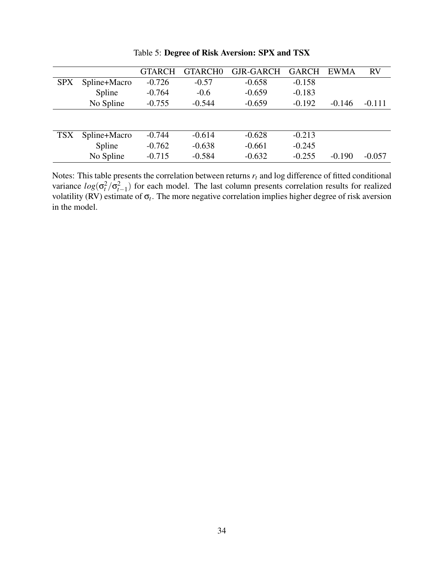|            |              | GTARCH   | <b>GTARCHO</b> | <b>GJR-GARCH</b> | <b>GARCH</b> | EWMA     | <b>RV</b> |
|------------|--------------|----------|----------------|------------------|--------------|----------|-----------|
| <b>SPX</b> | Spline+Macro | $-0.726$ | $-0.57$        | $-0.658$         | $-0.158$     |          |           |
|            | Spline       | $-0.764$ | $-0.6$         | $-0.659$         | $-0.183$     |          |           |
|            | No Spline    | $-0.755$ | $-0.544$       | $-0.659$         | $-0.192$     | $-0.146$ | $-0.111$  |
|            |              |          |                |                  |              |          |           |
| <b>TSX</b> | Spline+Macro | $-0.744$ | $-0.614$       | $-0.628$         | $-0.213$     |          |           |
|            | Spline       | $-0.762$ | $-0.638$       | $-0.661$         | $-0.245$     |          |           |
|            | No Spline    | $-0.715$ | $-0.584$       | $-0.632$         | $-0.255$     | $-0.190$ | $-0.057$  |
|            |              |          |                |                  |              |          |           |

Table 5: Degree of Risk Aversion: SPX and TSX

Notes: This table presents the correlation between returns *r<sup>t</sup>* and log difference of fitted conditional variance  $log(\sigma_t^2/\sigma_{t-1}^2)$  for each model. The last column presents correlation results for realized volatility (RV) estimate of  $\sigma_t$ . The more negative correlation implies higher degree of risk aversion in the model.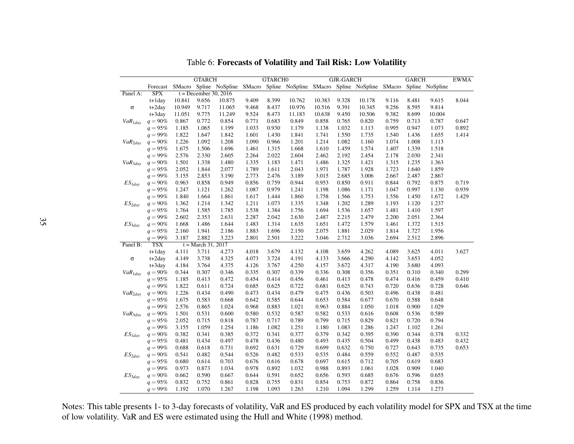|              |                         |                | <b>GTARCH</b>           |                |                | <b>GTARCHO</b> |                                                                                             |                | <b>GJR-GARCH</b> |                |                | <b>GARCH</b>   |                | <b>EWMA</b> |
|--------------|-------------------------|----------------|-------------------------|----------------|----------------|----------------|---------------------------------------------------------------------------------------------|----------------|------------------|----------------|----------------|----------------|----------------|-------------|
|              | Forecast                |                |                         |                |                |                | SMacro Spline NoSpline SMacro Spline NoSpline SMacro Spline NoSpline SMacro Spline NoSpline |                |                  |                |                |                |                |             |
| Panel A:     | <b>SPX</b>              |                | $t = December 30, 2016$ |                |                |                |                                                                                             |                |                  |                |                |                |                |             |
|              | $t+1$ day               | 10.841         | 9.656                   | 10.875         | 9.409          | 8.399          | 10.762                                                                                      | 10.383         | 9.328            | 10.178         | 9.116          | 8.481          | 9.615          | 8.044       |
| σ            | t+2day                  | 10.949         | 9.717                   | 11.065         | 9.468          | 8.437          | 10.976                                                                                      | 10.516         | 9.391            | 10.345         | 9.256          | 8.595          | 9.814          |             |
|              | $t+3day$                | 11.051         | 9.775                   | 11.249         | 9.524          | 8.473          | 11.183                                                                                      | 10.638         | 9.450            | 10.506         | 9.382          | 8.699          | 10.004         |             |
| $VaR_{1day}$ | $q = 90\%$              | 0.867          | 0.772                   | 0.854          | 0.771          | 0.683          | 0.849                                                                                       | 0.858          | 0.765            | 0.820          | 0.759          | 0.713          | 0.787          | 0.647       |
|              | $q = 95%$               | 1.185          | 1.065                   | 1.199          | 1.033          | 0.930          | 1.179                                                                                       | 1.138          | 1.032            | 1.113          | 0.995          | 0.947          | 1.073          | 0.892       |
|              | $q = 99\%$              | 1.822          | 1.647                   | 1.842          | 1.601          | 1.430          | 1.841                                                                                       | 1.741          | 1.550            | 1.735          | 1.540          | 1.436          | 1.655          | 1.414       |
| $VaR_{2dav}$ | $q = 90\%$              | 1.226          | 1.092                   | 1.208          | 1.090          | 0.966          | 1.201                                                                                       | 1.214          | 1.082            | 1.160          | 1.074          | 1.008          | 1.113          |             |
|              | $q = 95%$               | 1.675          | 1.506                   | 1.696          | 1.461          | 1.315          | 1.668                                                                                       | 1.610          | 1.459            | 1.574          | 1.407          | 1.339          | 1.518          |             |
|              | $q = 99\%$              | 2.576          | 2.330                   | 2.605          | 2.264          | 2.022          | 2.604                                                                                       | 2.462          | 2.192            | 2.454          | 2.178          | 2.030          | 2.341          |             |
| $VaR_{3dav}$ | $q = 90\%$              | 1.501          | 1.338                   | 1.480          | 1.335          | 1.183          | 1.471                                                                                       | 1.486          | 1.325            | 1.421          | 1.315          | 1.235          | 1.363          |             |
|              | $q = 95%$               | 2.052          | 1.844                   | 2.077          | 1.789          | 1.611          | 2.043                                                                                       | 1.971          | 1.787            | 1.928          | 1.723          | 1.640          | 1.859          |             |
|              | $q = 99\%$              | 3.155          | 2.853                   | 3.190          | 2.773          | 2.476          | 3.189                                                                                       | 3.015          | 2.685            | 3.006          | 2.667          | 2.487          | 2.867          |             |
| $ES_{1day}$  | $q = 90\%$              | 0.963          | 0.858                   | 0.949          | 0.856          | 0.759          | 0.944                                                                                       | 0.953          | 0.850            | 0.911          | 0.844          | 0.792          | 0.875          | 0.719       |
|              | $q = 95%$               | 1.247          | 1.121                   | 1.262          | 1.087          | 0.979          | 1.241                                                                                       | 1.198          | 1.086            | 1.171          | 1.047          | 0.997          | 1.130          | 0.939       |
|              | $q = 99\%$              | 1.840          | 1.664                   | 1.861          | 1.617          | 1.444          | 1.860                                                                                       | 1.758          | 1.566            | 1.753          | 1.556          | 1.450          | 1.672          | 1.429       |
| $ES_{2day}$  | $q = 90\%$              | 1.362          | 1.214                   | 1.342          | 1.211          | 1.073          | 1.335                                                                                       | 1.348          | 1.202            | 1.289          | 1.193          | 1.120          | 1.237          |             |
|              | $q = 95%$               | 1.764          | 1.585                   | 1.785          | 1.538          | 1.384          | 1.756                                                                                       | 1.694          | 1.536            | 1.657          | 1.481          | 1.410          | 1.597          |             |
|              | $q = 99\%$              | 2.602          | 2.353                   | 2.631          | 2.287          | 2.042          | 2.630                                                                                       | 2.487          | 2.215            | 2.479          | 2.200          | 2.051          | 2.364          |             |
| $ES_{3dav}$  | $q = 90%$               | 1.668          | 1.486                   | 1.644          | 1.483          | 1.314          | 1.635                                                                                       | 1.651          | 1.472            | 1.579          | 1.461          | 1.372          | 1.515          |             |
|              | $q = 95%$               | 2.160          | 1.941                   | 2.186          | 1.883          | 1.696          | 2.150                                                                                       | 2.075          | 1.881            | 2.029          | 1.814          | 1.727          | 1.956          |             |
|              | $q = 99\%$              | 3.187          | 2.882                   | 3.223          | 2.801          | 2.501          | 3.222                                                                                       | 3.046          | 2.712            | 3.036          | 2.694          | 2.512          | 2.896          |             |
| Panel B:     | <b>TSX</b>              |                | $t = March 31, 2017$    |                |                |                |                                                                                             |                |                  |                |                |                |                |             |
|              | $t+1$ day               | 4.111          | 3.711                   | 4.273          | 4.018          | 3.679          | 4.132                                                                                       | 4.108          | 3.659            | 4.262          | 4.089          | 3.625          | 4.011          | 3.627       |
| σ            | $t+2day$                | 4.149          | 3.738                   | 4.325          | 4.073          | 3.724          | 4.191                                                                                       | 4.133          | 3.666            | 4.290          | 4.142          | 3.653          | 4.052          |             |
|              | t+3day                  | 4.184          | 3.764                   | 4.375          | 4.126          | 3.767          | 4.250                                                                                       | 4.157          | 3.672            | 4.317          | 4.190          | 3.680          | 4.093          |             |
| $VaR_{1day}$ | $q = 90\%$              | 0.344          | 0.307                   | 0.346          | 0.335          | 0.307          | 0.339                                                                                       | 0.336          | 0.308            | 0.356          | 0.351          | 0.310          | 0.340          | 0.299       |
|              | $q = 95\%$              | 1.185          | 0.413                   | 0.472          | 0.454          | 0.414          | 0.456                                                                                       | 0.461          | 0.413            | 0.478          | 0.474          | 0.416          | 0.459          | 0.410       |
|              | $q = 99\%$              | 1.822          | 0.611                   | 0.724          | 0.685          | 0.625          | 0.722                                                                                       | 0.681          | 0.625            | 0.743          | 0.720          | 0.636          | 0.728          | 0.646       |
| $VaR_{2dav}$ | $q = 90\%$<br>$q = 95%$ | 1.226<br>1.675 | 0.434<br>0.583          | 0.490<br>0.668 | 0.473<br>0.642 | 0.434<br>0.585 | 0.479<br>0.644                                                                              | 0.475<br>0.653 | 0.436<br>0.584   | 0.503<br>0.677 | 0.496<br>0.670 | 0.438<br>0.588 | 0.481<br>0.648 |             |
|              | $q = 99\%$              | 2.576          | 0.865                   | 1.024          | 0.968          | 0.883          | 1.021                                                                                       | 0.963          | 0.884            | 1.050          | 1.018          | 0.900          | 1.029          |             |
|              | $q = 90\%$              | 1.501          | 0.531                   | 0.600          | 0.580          | 0.532          | 0.587                                                                                       | 0.582          | 0.533            | 0.616          | 0.608          | 0.536          | 0.589          |             |
| $VaR_{3dav}$ | $q = 95%$               | 2.052          | 0.715                   | 0.818          | 0.787          | 0.717          | 0.789                                                                                       | 0.799          | 0.715            | 0.829          | 0.821          | 0.720          | 0.794          |             |
|              | $q = 99\%$              | 3.155          | 1.059                   | 1.254          | 1.186          | 1.082          | 1.251                                                                                       | 1.180          | 1.083            | 1.286          | 1.247          | 1.102          | 1.261          |             |
| $ES_{1day}$  | $q = 90\%$              | 0.382          | 0.341                   | 0.385          | 0.372          | 0.341          | 0.377                                                                                       | 0.379          | 0.342            | 0.395          | 0.390          | 0.344          | 0.378          | 0.332       |
|              | $q = 95%$               | 0.481          | 0.434                   | 0.497          | 0.478          | 0.436          | 0.480                                                                                       | 0.493          | 0.435            | 0.504          | 0.499          | 0.438          | 0.483          | 0.432       |
|              | $q = 99\%$              | 0.688          | 0.618                   | 0.731          | 0.692          | 0.631          | 0.729                                                                                       | 0.699          | 0.632            | 0.750          | 0.727          | 0.643          | 0.735          | 0.653       |
| $ES_{2day}$  | $q = 90\%$              | 0.541          | 0.482                   | 0.544          | 0.526          | 0.482          | 0.533                                                                                       | 0.535          | 0.484            | 0.559          | 0.552          | 0.487          | 0.535          |             |
|              | $q = 95%$               | 0.680          | 0.614                   | 0.703          | 0.676          | 0.616          | 0.678                                                                                       | 0.697          | 0.615            | 0.712          | 0.705          | 0.619          | 0.683          |             |
|              | $q = 99\%$              | 0.973          | 0.873                   | 1.034          | 0.978          | 0.892          | 1.032                                                                                       | 0.988          | 0.893            | 1.061          | 1.028          | 0.909          | 1.040          |             |
| $ES_{3day}$  | $q = 90\%$              | 0.662          | 0.590                   | 0.667          | 0.644          | 0.591          | 0.652                                                                                       | 0.656          | 0.593            | 0.685          | 0.676          | 0.596          | 0.655          |             |
|              | $q = 95%$               | 0.832          | 0.752                   | 0.861          | 0.828          | 0.755          | 0.831                                                                                       | 0.854          | 0.753            | 0.872          | 0.864          | 0.758          | 0.836          |             |
|              | $q = 99\%$              | 1.192          | 1.070                   | 1.267          | 1.198          | 1.093          | 1.263                                                                                       | 1.210          | 1.094            | 1.299          | 1.259          | 1.114          | 1.273          |             |
|              |                         |                |                         |                |                |                |                                                                                             |                |                  |                |                |                |                |             |

Table 6: Forecasts of Volatility and Tail Risk: Low Volatility

Notes: This table presents 1- to 3-day forecasts of volatility, VaR and ES produced by each volatility model for SPX and TSX at the timeof low volatility. VaR and ES were estimated using the Hull and White (1998) method.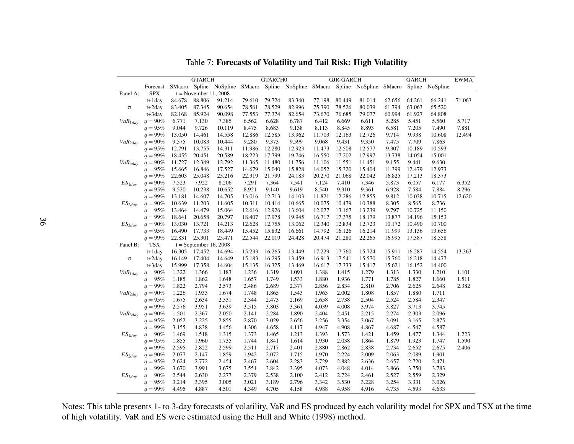|              |                          |                | <b>GTARCH</b>            |                |                | <b>GTARCHO</b> |                |                | <b>GJR-GARCH</b> |                                                                                             |                | <b>GARCH</b>   |                | <b>EWMA</b> |
|--------------|--------------------------|----------------|--------------------------|----------------|----------------|----------------|----------------|----------------|------------------|---------------------------------------------------------------------------------------------|----------------|----------------|----------------|-------------|
|              | Forecast                 |                |                          |                |                |                |                |                |                  | SMacro Spline NoSpline SMacro Spline NoSpline SMacro Spline NoSpline SMacro Spline NoSpline |                |                |                |             |
| Panel A:     | <b>SPX</b>               |                | $t = November 11, 2008$  |                |                |                |                |                |                  |                                                                                             |                |                |                |             |
|              | $t+1$ day                | 84.678         | 88.806                   | 91.214         | 79.610         | 79.724         | 83.340         | 77.198         | 80.449           | 81.014                                                                                      | 62.656         | 64.261         | 66.241         | 71.063      |
| $\sigma$     | $t+2day$                 | 83.405         | 87.345                   | 90.654         | 78.561         | 78.529         | 82.996         | 75.390         | 78.526           | 80.039                                                                                      | 61.794         | 63.063         | 65.520         |             |
|              | $t+3day$                 | 82.168         | 85.924                   | 90.098         | 77.553         | 77.374         | 82.654         | 73.670         | 76.685           | 79.077                                                                                      | 60.994         | 61.927         | 64.808         |             |
| $VaR_{1day}$ | $q = 90\%$               | 6.771          | 7.130                    | 7.385          | 6.562          | 6.628          | 6.787          | 6.412          | 6.669            | 6.611                                                                                       | 5.285          | 5.451          | 5.560          | 5.717       |
|              | $q = 95%$                | 9.044          | 9.726                    | 10.119         | 8.475          | 8.683          | 9.138          | 8.113          | 8.845            | 8.893                                                                                       | 6.581          | 7.205          | 7.490          | 7.881       |
|              | $q = 99\%$               | 13.050         | 14.461                   | 14.558         | 12.886         | 12.585         | 13.962         | 11.703         | 12.163           | 12.726                                                                                      | 9.714          | 9.938          | 10.608         | 12.494      |
| $VaR_{2dav}$ | $q = 90\%$               | 9.575          | 10.083                   | 10.444         | 9.280          | 9.373          | 9.599          | 9.068          | 9.431            | 9.350                                                                                       | 7.475          | 7.709          | 7.863          |             |
|              | $q = 95%$                | 12.791         | 13.755                   | 14.311         | 11.986         | 12.280         | 12.923         | 11.473         | 12.508           | 12.577                                                                                      | 9.307          | 10.189         | 10.593         |             |
|              | $q = 99\%$               | 18.455         | 20.451                   | 20.589         | 18.223         | 17.799         | 19.746         | 16.550         | 17.202           | 17.997                                                                                      | 13.738         | 14.054         | 15.001         |             |
| $VaR_{3dav}$ | $q = 90\%$               | 11.727         | 12.349                   | 12.792         | 11.365         | 11.480         | 11.756         | 11.106         | 11.551           | 11.451                                                                                      | 9.155          | 9.441          | 9.630          |             |
|              | $q = 95%$                | 15.665         | 16.846                   | 17.527         | 14.679         | 15.040         | 15.828         | 14.052         | 15.320           | 15.404                                                                                      | 11.399         | 12.479         | 12.973         |             |
|              | $q = 99\%$               | 22.603         | 25.048                   | 25.216         | 22.319         | 21.799         | 24.183         | 20.270         | 21.068           | 22.042                                                                                      | 16.825         | 17.213         | 18.373         |             |
| $ES_{1day}$  | $q = 90\%$               | 7.523          | 7.922                    | 8.206          | 7.291          | 7.364          | 7.541          | 7.124          | 7.410            | 7.346                                                                                       | 5.873          | 6.057          | 6.177          | 6.352       |
|              | $q = 95%$                | 9.520          | 10.238                   | 10.652         | 8.921          | 9.140          | 9.619          | 8.540          | 9.310            | 9.361                                                                                       | 6.928          | 7.584          | 7.884          | 8.296       |
|              | $q = 99\%$               | 13.181         | 14.607                   | 14.705         | 13.016         | 12.713         | 14.103         | 11.821         | 12.286           | 12.855                                                                                      | 9.812          | 10.038         | 10.715         | 12.620      |
| $ES_{2day}$  | $q = 90\%$               | 10.639         | 11.203                   | 11.605         | 10.311         | 10.414         | 10.665         | 10.075         | 10.479           | 10.388                                                                                      | 8.305          | 8.565          | 8.736          |             |
|              | $q = 95%$                | 13.464         | 14.479                   | 15.064         | 12.616         | 12.926         | 13.604         | 12.077         | 13.167           | 13.239                                                                                      | 9.797          | 10.725         | 11.150         |             |
|              | $q = 99\%$               | 18.641         | 20.658                   | 20.797         | 18.407         | 17.978         | 19.945         | 16.717         | 17.375           | 18.179                                                                                      | 13.877         | 14.196         | 15.153         |             |
| $ES_{3dav}$  | $q = 90\%$               | 13.030         | 13.721                   | 14.213         | 12.628         | 12.755         | 13.062         | 12.340         | 12.834           | 12.723                                                                                      | 10.172         | 10.490         | 10.700         |             |
|              | $q = 95\%$               | 16.490         | 17.733                   | 18.449         | 15.452         | 15.832         | 16.661         | 14.792         | 16.126           | 16.214                                                                                      | 11.999         | 13.136         | 13.656         |             |
|              | $q = 99\%$               | 22.831         | 25.301                   | 25.471         | 22.544         | 22.019         | 24.428         | 20.474         | 21.280           | 22.265                                                                                      | 16.995         | 17.387         | 18.558         |             |
| Panel B:     | <b>TSX</b>               |                | $t =$ September 16, 2008 |                |                |                |                |                |                  |                                                                                             |                |                |                |             |
|              | $t+1day$                 | 16.305         | 17.452                   | 14.694         | 15.233         | 16.265         | 13.449         | 17.229         | 17.760           | 15.724                                                                                      | 15.911         | 16.287         | 14.554         | 13.363      |
| $\sigma$     | $t+2day$                 | 16.149         | 17.404                   | 14.649         | 15.183         | 16.295         | 13.459         | 16.913         | 17.541           | 15.570                                                                                      | 15.760         | 16.218         | 14.477         |             |
|              | $t+3day$                 | 15.999         | 17.358                   | 14.604         | 15.135         | 16.325         | 13.469         | 16.617         | 17.333           | 15.417                                                                                      | 15.621         | 16.152         | 14.400         |             |
| $VaR_{1day}$ | $q = 90\%$               | 1.322          | 1.366                    | 1.183          | 1.236          | 1.319          | 1.091          | 1.388          | 1.415            | 1.279                                                                                       | 1.313          | 1.330          | 1.210          | 1.101       |
|              | $q = 95%$                | 1.185          | 1.862                    | 1.648          | 1.657          | 1.749          | 1.533          | 1.880          | 1.936            | 1.771                                                                                       | 1.785          | 1.827          | 1.660          | 1.511       |
|              | $q = 99\%$               | 1.822          | 2.794                    | 2.573          | 2.486          | 2.689          | 2.377          | 2.856          | 2.834            | 2.810                                                                                       | 2.706          | 2.625          | 2.648          | 2.382       |
| $VaR_{2day}$ | $q = 90%$                | 1.226          | 1.933                    | 1.674          | 1.748          | 1.865          | 1.543          | 1.963          | 2.002            | 1.808                                                                                       | 1.857          | 1.880          | 1.711          |             |
|              | $q = 95%$                | 1.675          | 2.634                    | 2.331          | 2.344          | 2.473          | 2.169          | 2.658          | 2.738            | 2.504                                                                                       | 2.524          | 2.584          | 2.347          |             |
|              | $q = 99\%$               | 2.576          | 3.951                    | 3.639          | 3.515          | 3.803          | 3.361          | 4.039          | 4.008            | 3.974                                                                                       | 3.827          | 3.713          | 3.745          |             |
| $VaR_{3dav}$ | $q = 90\%$               | 1.501          | 2.367                    | 2.050          | 2.141          | 2.284          | 1.890          | 2.404          | 2.451            | 2.215                                                                                       | 2.274          | 2.303          | 2.096          |             |
|              | $q = 95%$                | 2.052          | 3.225<br>4.838           | 2.855<br>4.456 | 2.870<br>4.306 | 3.029          | 2.656          | 3.256          | 3.354<br>4.908   | 3.067<br>4.867                                                                              | 3.091<br>4.687 | 3.165          | 2.875<br>4.587 |             |
|              | $q = 99\%$<br>$q = 90\%$ | 3.155<br>1.469 | 1.518                    | 1.315          | 1.373          | 4.658          | 4.117<br>1.213 | 4.947<br>1.393 | 1.573            | 1.421                                                                                       | 1.459          | 4.547<br>1.477 | 1.344          | 1.223       |
| $ES_{1day}$  |                          |                |                          |                | 1.744          | 1.465          | 1.614          |                | 2.038            |                                                                                             |                | 1.923          |                |             |
|              | $q = 95%$                | 1.855          | 1.960                    | 1.735          |                | 1.841          |                | 1.930          |                  | 1.864                                                                                       | 1.879<br>2.734 |                | 1.747          | 1.590       |
|              | $q = 99\%$               | 2.595<br>2.077 | 2.822<br>2.147           | 2.599<br>1.859 | 2.511<br>1.942 | 2.717<br>2.072 | 2.401<br>1.715 | 2.880<br>1.970 | 2.862<br>2.224   | 2.838<br>2.009                                                                              | 2.063          | 2.652<br>2.089 | 2.675<br>1.901 | 2.406       |
| $ES_{2day}$  | $q = 90\%$<br>$q = 95%$  | 2.624          | 2.772                    | 2.454          | 2.467          | 2.604          | 2.283          | 2.729          | 2.882            | 2.636                                                                                       | 2.657          | 2.720          | 2.471          |             |
|              | $q = 99\%$               | 3.670          | 3.991                    | 3.675          | 3.551          | 3.842          | 3.395          | 4.073          | 4.048            | 4.014                                                                                       | 3.866          | 3.750          | 3.783          |             |
|              |                          |                | 2.630                    | 2.277          | 2.379          |                |                |                | 2.724            |                                                                                             |                | 2.559          | 2.329          |             |
| $ES_{3day}$  | $q = 90\%$<br>$q = 95%$  | 2.544<br>3.214 | 3.395                    | 3.005          | 3.021          | 2.538<br>3.189 | 2.100<br>2.796 | 2.412<br>3.342 | 3.530            | 2.461<br>3.228                                                                              | 2.527<br>3.254 | 3.331          | 3.026          |             |
|              |                          | 4.495          | 4.887                    | 4.501          | 4.349          | 4.705          | 4.158          | 4.988          | 4.958            |                                                                                             | 4.735          | 4.593          |                |             |
|              | $q = 99\%$               |                |                          |                |                |                |                |                |                  | 4.916                                                                                       |                |                | 4.633          |             |

Table 7: Forecasts of Volatility and Tail Risk: High Volatility

Notes: This table presents 1- to 3-day forecasts of volatility, VaR and ES produced by each volatility model for SPX and TSX at the timeof high volatility. VaR and ES were estimated using the Hull and White (1998) method.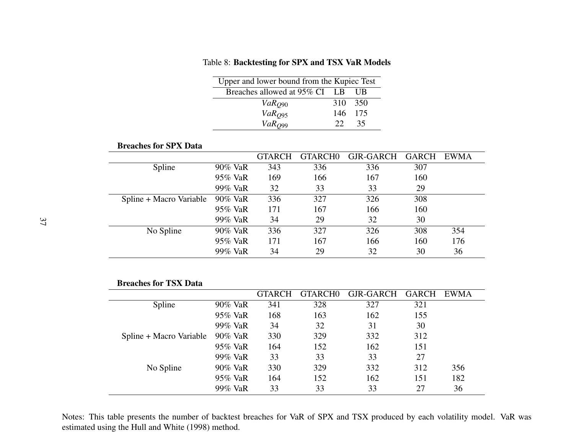| Upper and lower bound from the Kupiec Test |              |         |
|--------------------------------------------|--------------|---------|
| Breaches allowed at 95% CI LB              |              | -UB     |
| $VaR_{O90}$                                | 310 350      |         |
| VaR <sub>O95</sub>                         |              | 146 175 |
| VaR <sub>O99</sub>                         | $22^{\circ}$ | 35      |

Table 8: Backtesting for SPX and TSX VaR Models

#### Breaches for SPX Data

|                         |         | <b>GTARCH</b> | GTARCH <sub>0</sub> | GJR-GARCH | <b>GARCH</b> | EWMA |
|-------------------------|---------|---------------|---------------------|-----------|--------------|------|
| Spline                  | 90% VaR | 343           | 336                 | 336       | 307          |      |
|                         | 95% VaR | 169           | 166                 | 167       | 160          |      |
|                         | 99% VaR | 32            | 33                  | 33        | 29           |      |
| Spline + Macro Variable | 90% VaR | 336           | 327                 | 326       | 308          |      |
|                         | 95% VaR | 171           | 167                 | 166       | 160          |      |
|                         | 99% VaR | 34            | 29                  | 32        | 30           |      |
| No Spline               | 90% VaR | 336           | 327                 | 326       | 308          | 354  |
|                         | 95% VaR | 171           | 167                 | 166       | 160          | 176  |
|                         | 99% VaR | 34            | 29                  | 32        | 30           | 36   |

### Breaches for TSX Data

|                         |         | <b>GTARCH</b> | GTARCH <sub>0</sub> | GJR-GARCH | <b>GARCH</b> | <b>EWMA</b> |
|-------------------------|---------|---------------|---------------------|-----------|--------------|-------------|
| Spline                  | 90% VaR | 341           | 328                 | 327       | 321          |             |
|                         | 95% VaR | 168           | 163                 | 162       | 155          |             |
|                         | 99% VaR | 34            | 32                  | 31        | 30           |             |
| Spline + Macro Variable | 90% VaR | 330           | 329                 | 332       | 312          |             |
|                         | 95% VaR | 164           | 152                 | 162       | 151          |             |
|                         | 99% VaR | 33            | 33                  | 33        | 27           |             |
| No Spline               | 90% VaR | 330           | 329                 | 332       | 312          | 356         |
|                         | 95% VaR | 164           | 152                 | 162       | 151          | 182         |
|                         | 99% VaR | 33            | 33                  | 33        | 27           | 36          |

Notes: This table presents the number of backtest breaches for VaR of SPX and TSX produced by each volatility model. VaR wasestimated using the Hull and White (1998) method.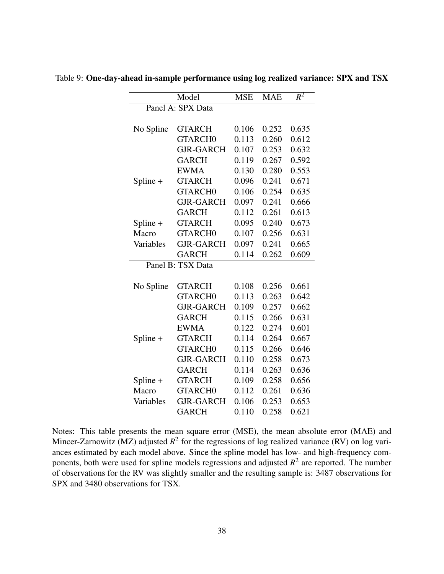|            | Model             | <b>MSE</b> | <b>MAE</b> | $R^2$ |
|------------|-------------------|------------|------------|-------|
|            | Panel A: SPX Data |            |            |       |
|            |                   |            |            |       |
| No Spline  | <b>GTARCH</b>     | 0.106      | 0.252      | 0.635 |
|            | <b>GTARCHO</b>    | 0.113      | 0.260      | 0.612 |
|            | <b>GJR-GARCH</b>  | 0.107      | 0.253      | 0.632 |
|            | <b>GARCH</b>      | 0.119      | 0.267      | 0.592 |
|            | <b>EWMA</b>       | 0.130      | 0.280      | 0.553 |
| Spline +   | <b>GTARCH</b>     | 0.096      | 0.241      | 0.671 |
|            | <b>GTARCHO</b>    | 0.106      | 0.254      | 0.635 |
|            | <b>GJR-GARCH</b>  | 0.097      | 0.241      | 0.666 |
|            | <b>GARCH</b>      | 0.112      | 0.261      | 0.613 |
| Spline +   | <b>GTARCH</b>     | 0.095      | 0.240      | 0.673 |
| Macro      | <b>GTARCHO</b>    | 0.107      | 0.256      | 0.631 |
| Variables  | <b>GJR-GARCH</b>  | 0.097      | 0.241      | 0.665 |
|            | <b>GARCH</b>      | 0.114      | 0.262      | 0.609 |
|            | Panel B: TSX Data |            |            |       |
|            |                   |            |            |       |
| No Spline  | <b>GTARCH</b>     | 0.108      | 0.256      | 0.661 |
|            | <b>GTARCHO</b>    | 0.113      | 0.263      | 0.642 |
|            | <b>GJR-GARCH</b>  | 0.109      | 0.257      | 0.662 |
|            | <b>GARCH</b>      | 0.115      | 0.266      | 0.631 |
|            | <b>EWMA</b>       | 0.122      | 0.274      | 0.601 |
| Spline +   | <b>GTARCH</b>     | 0.114      | 0.264      | 0.667 |
|            | <b>GTARCHO</b>    | 0.115      | 0.266      | 0.646 |
|            | <b>GJR-GARCH</b>  | 0.110      | 0.258      | 0.673 |
|            | <b>GARCH</b>      | 0.114      | 0.263      | 0.636 |
| Spline $+$ | <b>GTARCH</b>     | 0.109      | 0.258      | 0.656 |
| Macro      | <b>GTARCHO</b>    | 0.112      | 0.261      | 0.636 |
| Variables  | <b>GJR-GARCH</b>  | 0.106      | 0.253      | 0.653 |
|            | <b>GARCH</b>      | 0.110      | 0.258      | 0.621 |

Table 9: One-day-ahead in-sample performance using log realized variance: SPX and TSX

Notes: This table presents the mean square error (MSE), the mean absolute error (MAE) and Mincer-Zarnowitz (MZ) adjusted  $R^2$  for the regressions of log realized variance (RV) on log variances estimated by each model above. Since the spline model has low- and high-frequency components, both were used for spline models regressions and adjusted  $R^2$  are reported. The number of observations for the RV was slightly smaller and the resulting sample is: 3487 observations for SPX and 3480 observations for TSX.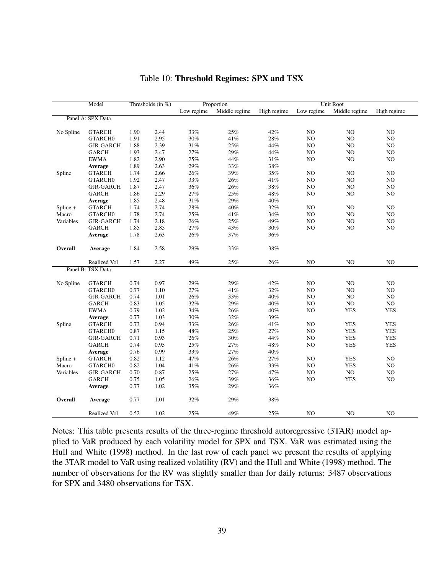|            | Model               |      | Thresholds (in $%$ ) |            | Proportion    |             |            | Unit Root     |             |
|------------|---------------------|------|----------------------|------------|---------------|-------------|------------|---------------|-------------|
|            |                     |      |                      | Low regime | Middle regime | High regime | Low regime | Middle regime | High regime |
|            | Panel A: SPX Data   |      |                      |            |               |             |            |               |             |
|            |                     |      |                      |            |               |             |            |               |             |
| No Spline  | <b>GTARCH</b>       | 1.90 | 2.44                 | $33\%$     | 25%           | 42%         | NO         | NO            | NO          |
|            | GTARCH <sub>0</sub> | 1.91 | 2.95                 | 30%        | 41%           | 28%         | NO         | NO            | NO          |
|            | <b>GJR-GARCH</b>    | 1.88 | 2.39                 | 31%        | 25%           | 44%         | NO         | NO            | NO          |
|            | <b>GARCH</b>        | 1.93 | 2.47                 | 27%        | 29%           | 44%         | NO         | NO            | $\rm NO$    |
|            | <b>EWMA</b>         | 1.82 | 2.90                 | 25%        | 44%           | 31%         | NO         | NO            | NO          |
|            | <b>Average</b>      | 1.89 | 2.63                 | 29%        | 33%           | $38\%$      |            |               |             |
| Spline     | <b>GTARCH</b>       | 1.74 | 2.66                 | 26%        | 39%           | 35%         | NO         | NO            | NO          |
|            | GTARCH <sub>0</sub> | 1.92 | 2.47                 | 33%        | 26%           | 41%         | NO         | NO            | NO          |
|            | <b>GJR-GARCH</b>    | 1.87 | 2.47                 | 36%        | $26\%$        | 38%         | NO         | NO            | NO          |
|            | <b>GARCH</b>        | 1.86 | 2.29                 | 27%        | 25%           | 48%         | NO         | NO            | NO          |
|            | Average             | 1.85 | 2.48                 | $31\%$     | 29%           | 40%         |            |               |             |
| $Spline +$ | <b>GTARCH</b>       | 1.74 | 2.74                 | 28%        | 40%           | 32%         | NO         | NO            | NO          |
| Macro      | GTARCH0             | 1.78 | 2.74                 | 25%        | 41%           | 34%         | NO         | NO            | NO          |
| Variables  | <b>GJR-GARCH</b>    | 1.74 | 2.18                 | 26%        | 25%           | 49%         | NO         | NO            | $\rm NO$    |
|            | <b>GARCH</b>        | 1.85 | 2.85                 | 27%        | 43%           | 30%         | NO         | NO            | NO          |
|            | <b>Average</b>      | 1.78 | 2.63                 | 26%        | 37%           | 36%         |            |               |             |
|            |                     |      |                      |            |               |             |            |               |             |
| Overall    | Average             | 1.84 | 2.58                 | 29%        | 33%           | 38%         |            |               |             |
|            | Realized Vol        | 1.57 | 2.27                 | 49%        | 25%           | 26%         | NO         | NO            | NO          |
|            | Panel B: TSX Data   |      |                      |            |               |             |            |               |             |
|            |                     |      |                      |            |               |             |            |               |             |
| No Spline  | <b>GTARCH</b>       | 0.74 | 0.97                 | 29%        | 29%           | 42%         | NO         | NO            | NO          |
|            | <b>GTARCHO</b>      | 0.77 | 1.10                 | 27%        | 41%           | 32%         | NO         | NO            | NO          |
|            | <b>GJR-GARCH</b>    | 0.74 | 1.01                 | 26%        | 33%           | 40%         | NO         | NO            | NO          |
|            | <b>GARCH</b>        | 0.83 | 1.05                 | 32%        | 29%           | 40%         | NO         | NO            | NO          |
|            | <b>EWMA</b>         | 0.79 | 1.02                 | 34%        | 26%           | 40%         | NO         | <b>YES</b>    | <b>YES</b>  |
|            | <b>Average</b>      | 0.77 | 1.03                 | 30%        | 32%           | 39%         |            |               |             |
| Spline     | <b>GTARCH</b>       | 0.73 | 0.94                 | 33%        | $26\%$        | 41%         | NO         | <b>YES</b>    | <b>YES</b>  |
|            | GTARCH <sub>0</sub> | 0.87 | 1.15                 | 48%        | 25%           | 27%         | NO         | <b>YES</b>    | <b>YES</b>  |
|            | <b>GJR-GARCH</b>    | 0.71 | 0.93                 | 26%        | $30\%$        | 44%         | NO         | <b>YES</b>    | <b>YES</b>  |
|            | <b>GARCH</b>        | 0.74 | 0.95                 | 25%        | 27%           | 48%         | NO         | <b>YES</b>    | <b>YES</b>  |
|            | Average             | 0.76 | 0.99                 | 33%        | 27%           | 40%         |            |               |             |
| Spline +   | <b>GTARCH</b>       | 0.82 | 1.12                 | 47%        | 26%           | $27\%$      | NO         | <b>YES</b>    | NO          |
| Macro      | GTARCH <sub>0</sub> | 0.82 | 1.04                 | 41%        | 26%           | 33%         | NO         | <b>YES</b>    | NO          |
| Variables  | <b>GJR-GARCH</b>    | 0.70 | 0.87                 | 25%        | 27%           | 47%         | NO         | NO            | NO          |
|            | <b>GARCH</b>        | 0.75 | 1.05                 | 26%        | 39%           | 36%         | NO         | <b>YES</b>    | NO          |
|            | Average             | 0.77 | 1.02                 | 35%        | 29%           | 36%         |            |               |             |
|            |                     |      |                      |            |               |             |            |               |             |
| Overall    | Average             | 0.77 | 1.01                 | 32%        | 29%           | 38%         |            |               |             |
|            |                     |      |                      |            |               |             |            |               |             |
|            | Realized Vol        | 0.52 | 1.02                 | 25%        | $49\%$        | 25%         | NO         | NO            | NO.         |

#### Table 10: Threshold Regimes: SPX and TSX

Notes: This table presents results of the three-regime threshold autoregressive (3TAR) model applied to VaR produced by each volatility model for SPX and TSX. VaR was estimated using the Hull and White (1998) method. In the last row of each panel we present the results of applying the 3TAR model to VaR using realized volatility (RV) and the Hull and White (1998) method. The number of observations for the RV was slightly smaller than for daily returns: 3487 observations for SPX and 3480 observations for TSX.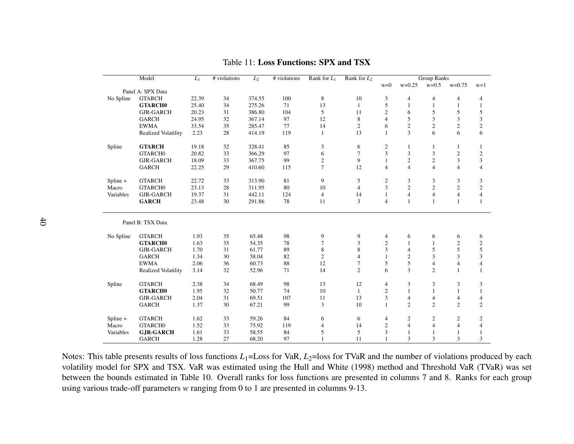| Model     |                     | $L_1$ | # violations | $L_2$  | # violations | Rank for $L_1$   | Rank for $L_2$ | <b>Group Ranks</b> |                |                  |                |                |
|-----------|---------------------|-------|--------------|--------|--------------|------------------|----------------|--------------------|----------------|------------------|----------------|----------------|
|           |                     |       |              |        |              |                  |                | $w=0$              | $w=0.25$       | $w=0.5$          | $w=0.75$       | $w=1$          |
|           | Panel A: SPX Data   |       |              |        |              |                  |                |                    |                |                  |                |                |
| No Spline | <b>GTARCH</b>       | 22.39 | 34           | 374.55 | 100          | $\,$ 8 $\,$      | 10             | 3                  | $\overline{4}$ | $\overline{4}$   | $\overline{4}$ | 4              |
|           | <b>GTARCHO</b>      | 25.40 | 34           | 275.26 | 71           | 13               | 1              | 5                  | $\mathbf{1}$   | $\mathbf{1}$     | 1              | 1              |
|           | <b>GJR-GARCH</b>    | 20.23 | 31           | 386.80 | 104          | 5                | 11             | $\overline{c}$     | 6              | 5                | 5              | 5              |
|           | <b>GARCH</b>        | 24.95 | 32           | 367.14 | 97           | 12               | 8              | $\overline{4}$     | 5              | 3                | 3              | 3              |
|           | <b>EWMA</b>         | 33.54 | 35           | 285.47 | 77           | 14               | $\overline{c}$ | 6                  | $\overline{2}$ | $\overline{c}$   | $\overline{c}$ | $\sqrt{2}$     |
|           | Realized Volatility | 2.23  | 28           | 414.19 | 119          | $\mathbf{1}$     | 13             | 1                  | 3              | 6                | 6              | 6              |
| Spline    | <b>GTARCH</b>       | 19.18 | 32           | 328.41 | 85           | 3                | 6              | $\overline{c}$     | 1              | 1                | 1              | 1              |
|           | GTARCH0             | 20.82 | 33           | 366.29 | 97           | 6                | $\overline{7}$ | 3                  | 3              | 3                | $\sqrt{2}$     | $\mathfrak{2}$ |
|           | <b>GJR-GARCH</b>    | 18.09 | 33           | 367.75 | 99           | $\boldsymbol{2}$ | 9              | $\mathbf{1}$       | $\overline{c}$ | $\sqrt{2}$       | 3              | 3              |
|           | <b>GARCH</b>        | 22.25 | 29           | 410.60 | 115          | $\tau$           | 12             | $\overline{4}$     | $\overline{4}$ | $\overline{4}$   | $\overline{4}$ | $\overline{4}$ |
| Spline +  | <b>GTARCH</b>       | 22.72 | 33           | 313.90 | 81           | 9                | 5              | $\overline{c}$     | 3              | 3                | 3              | 3              |
| Macro     | GTARCH0             | 23.13 | 28           | 311.95 | 80           | 10               | $\overline{4}$ | 3                  | $\overline{2}$ | $\overline{2}$   | $\overline{2}$ | $\mathbf{2}$   |
| Variables | <b>GJR-GARCH</b>    | 19.37 | 31           | 442.11 | 124          | $\overline{4}$   | 14             | 1                  | $\overline{4}$ | $\overline{4}$   | $\overline{4}$ | $\overline{4}$ |
|           | <b>GARCH</b>        | 23.48 | 30           | 291.86 | 78           | 11               | 3              | $\overline{4}$     | $\mathbf{1}$   | $\mathbf{1}$     | $\mathbf{1}$   | 1              |
|           | Panel B: TSX Data   |       |              |        |              |                  |                |                    |                |                  |                |                |
| No Spline | <b>GTARCH</b>       | 1.93  | 35           | 65.48  | 98           | 9                | 9              | 4                  | 6              | 6                | 6              | 6              |
|           | <b>GTARCHO</b>      | 1.63  | 35           | 54.35  | 78           | $\tau$           | 3              | $\overline{c}$     | $\mathbf{1}$   | $\mathbf{1}$     | $\mathbf{2}$   | $\mathbf{2}$   |
|           | <b>GJR-GARCH</b>    | 1.70  | 31           | 61.77  | 89           | 8                | 8              | 3                  | $\overline{4}$ | 5                | 5              | 5              |
|           | <b>GARCH</b>        | 1.34  | 30           | 58.04  | 82           | $\mathfrak{2}$   | $\overline{4}$ | 1                  | $\overline{2}$ | 3                | 3              | 3              |
|           | <b>EWMA</b>         | 2.06  | 36           | 60.73  | 88           | 12               | 7              | 5                  | 5              | $\overline{4}$   | $\overline{4}$ | $\overline{4}$ |
|           | Realized Volatility | 3.14  | 32           | 52.96  | 71           | 14               | $\overline{c}$ | 6                  | 3              | $\overline{c}$   | $\mathbf{1}$   | 1              |
| Spline    | <b>GTARCH</b>       | 2.38  | 34           | 68.49  | 98           | 13               | 12             | 4                  | 3              | 3                | 3              | 3              |
|           | <b>GTARCHO</b>      | 1.95  | 32           | 50.77  | 74           | 10               | $\mathbf{1}$   | $\overline{c}$     | $\mathbf{1}$   | $\mathbf{1}$     | $\mathbf{1}$   | $\mathbf{1}$   |
|           | <b>GJR-GARCH</b>    | 2.04  | 31           | 69.51  | 107          | 11               | 13             | 3                  | $\overline{4}$ | 4                | $\overline{4}$ | 4              |
|           | <b>GARCH</b>        | 1.37  | 30           | 67.21  | 99           | 3                | 10             | 1                  | $\overline{2}$ | $\overline{c}$   | $\overline{2}$ | $\overline{c}$ |
| Spline +  | <b>GTARCH</b>       | 1.62  | 33           | 59.26  | 84           | 6                | 6              | 4                  | $\overline{2}$ | $\boldsymbol{2}$ | $\overline{c}$ | $\mathfrak{2}$ |
| Macro     | GTARCH0             | 1.52  | 33           | 75.92  | 119          | 4                | 14             | $\overline{c}$     | $\overline{4}$ | $\overline{4}$   | 4              | $\overline{4}$ |
| Variables | <b>GJR-GARCH</b>    | 1.61  | 33           | 58.55  | 84           | 5                | 5              | 3                  | $\mathbf{1}$   | $\mathbf{1}$     | 1              | 1              |
|           | <b>GARCH</b>        | 1.28  | 27           | 68.20  | 97           | $\mathbf{1}$     | 11             |                    | 3              | 3                | 3              | 3              |

Table 11: Loss Functions: SPX and TSX

Notes: This table presents results of loss functions *<sup>L</sup>*1=Loss for VaR, *<sup>L</sup>*2=loss for TVaR and the number of violations produced by each volatility model for SPX and TSX. VaR was estimated using the Hull and White (1998) method and Threshold VaR (TVaR) was setbetween the bounds estimated in Table 10. Overall ranks for loss functions are presented in columns 7 and 8. Ranks for each groupusing various trade-off parameters *<sup>w</sup>* ranging from <sup>0</sup> to <sup>1</sup> are presented in columns 9-13.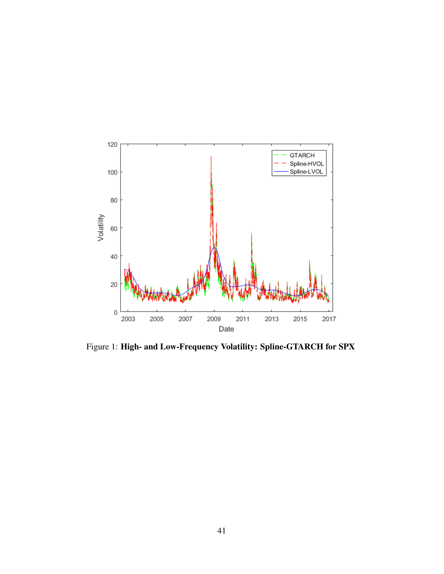

Figure 1: High- and Low-Frequency Volatility: Spline-GTARCH for SPX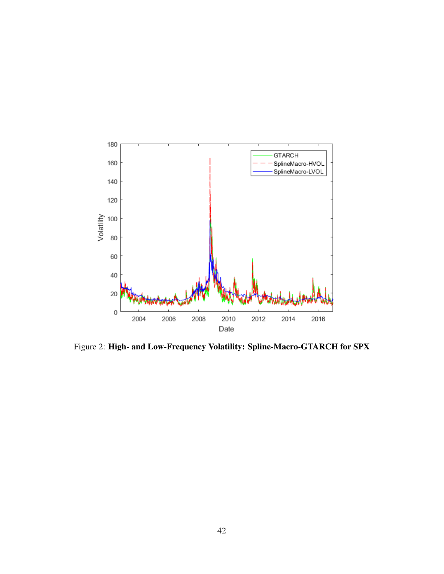

Figure 2: High- and Low-Frequency Volatility: Spline-Macro-GTARCH for SPX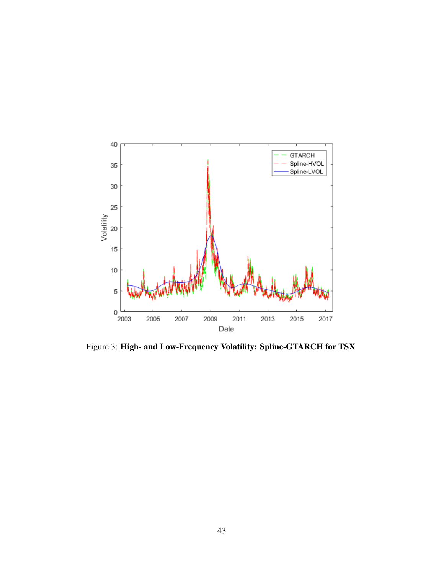

Figure 3: High- and Low-Frequency Volatility: Spline-GTARCH for TSX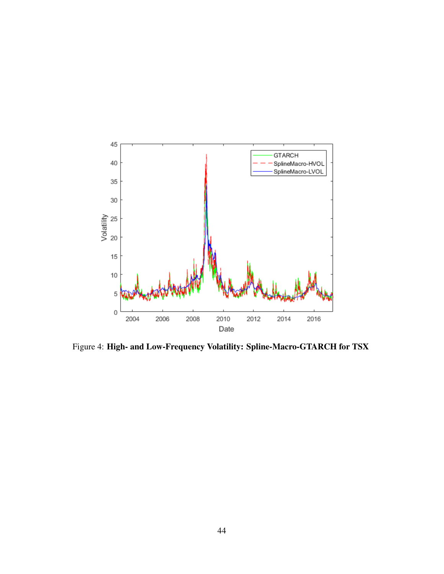

Figure 4: High- and Low-Frequency Volatility: Spline-Macro-GTARCH for TSX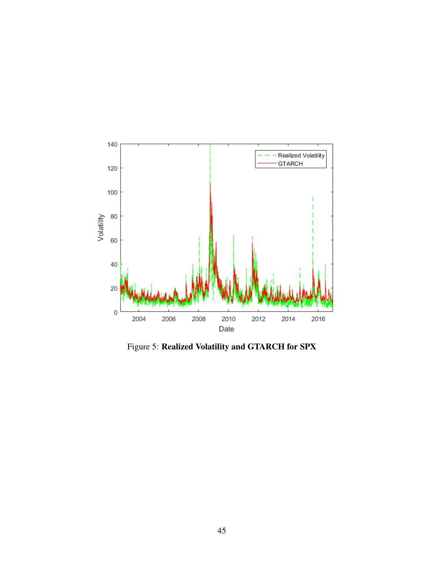

Figure 5: Realized Volatility and GTARCH for SPX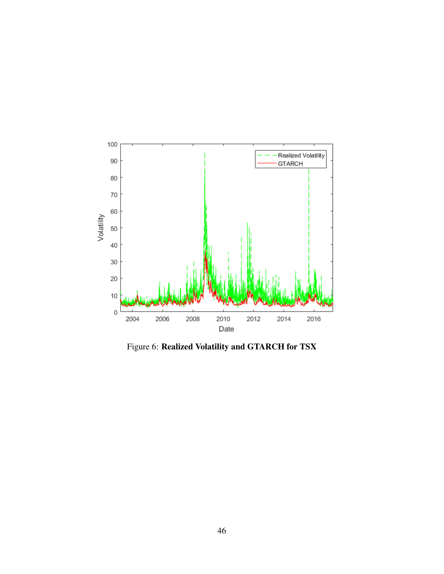

Figure 6: Realized Volatility and GTARCH for TSX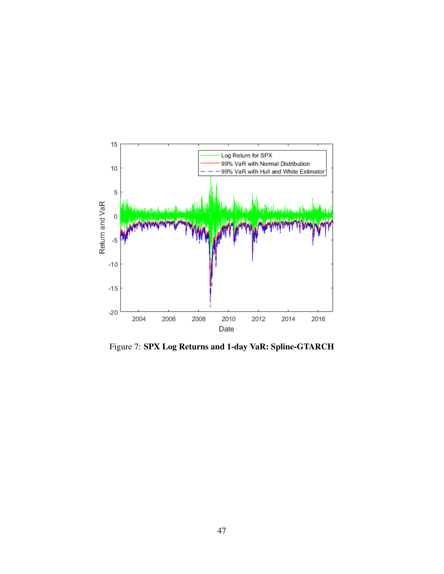

Figure 7: SPX Log Returns and 1-day VaR: Spline-GTARCH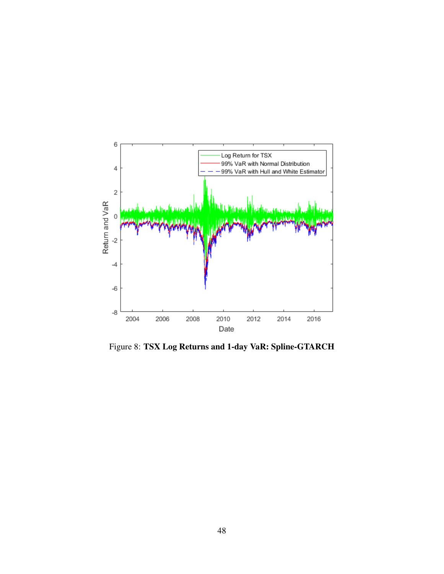

Figure 8: TSX Log Returns and 1-day VaR: Spline-GTARCH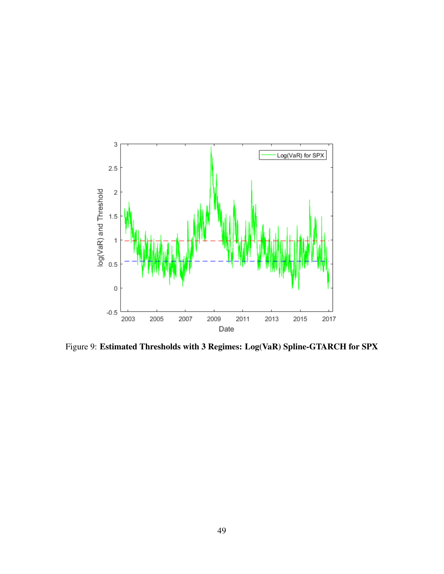

Figure 9: Estimated Thresholds with 3 Regimes: Log(VaR) Spline-GTARCH for SPX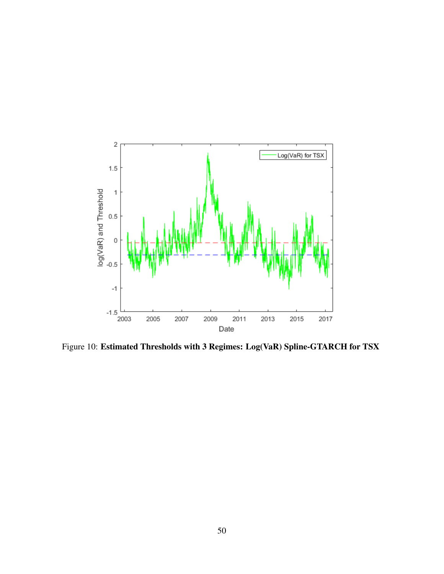

Figure 10: Estimated Thresholds with 3 Regimes: Log(VaR) Spline-GTARCH for TSX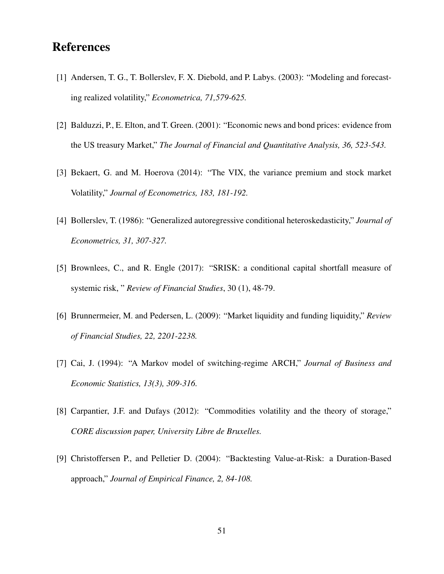### **References**

- [1] Andersen, T. G., T. Bollerslev, F. X. Diebold, and P. Labys. (2003): "Modeling and forecasting realized volatility," *Econometrica, 71,579-625.*
- [2] Balduzzi, P., E. Elton, and T. Green. (2001): "Economic news and bond prices: evidence from the US treasury Market," *The Journal of Financial and Quantitative Analysis, 36, 523-543.*
- [3] Bekaert, G. and M. Hoerova (2014): "The VIX, the variance premium and stock market Volatility," *Journal of Econometrics, 183, 181-192.*
- [4] Bollerslev, T. (1986): "Generalized autoregressive conditional heteroskedasticity," *Journal of Econometrics, 31, 307-327.*
- [5] Brownlees, C., and R. Engle (2017): "SRISK: a conditional capital shortfall measure of systemic risk, " *Review of Financial Studies*, 30 (1), 48-79.
- [6] Brunnermeier, M. and Pedersen, L. (2009): "Market liquidity and funding liquidity," *Review of Financial Studies, 22, 2201-2238.*
- [7] Cai, J. (1994): "A Markov model of switching-regime ARCH," *Journal of Business and Economic Statistics, 13(3), 309-316.*
- [8] Carpantier, J.F. and Dufays (2012): "Commodities volatility and the theory of storage," *CORE discussion paper, University Libre de Bruxelles.*
- [9] Christoffersen P., and Pelletier D. (2004): "Backtesting Value-at-Risk: a Duration-Based approach," *Journal of Empirical Finance, 2, 84-108.*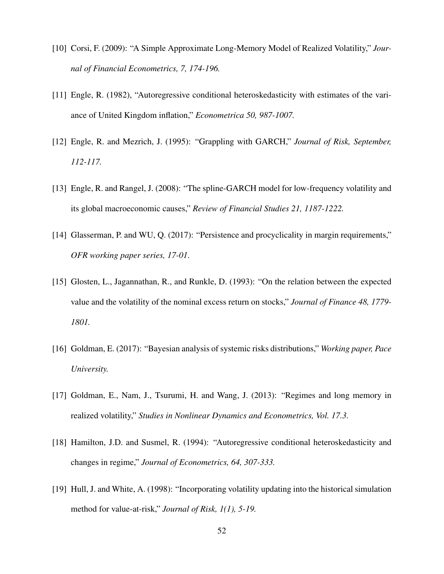- [10] Corsi, F. (2009): "A Simple Approximate Long-Memory Model of Realized Volatility," *Journal of Financial Econometrics, 7, 174-196.*
- [11] Engle, R. (1982), "Autoregressive conditional heteroskedasticity with estimates of the variance of United Kingdom inflation," *Econometrica 50, 987-1007.*
- [12] Engle, R. and Mezrich, J. (1995): "Grappling with GARCH," *Journal of Risk, September, 112-117.*
- [13] Engle, R. and Rangel, J. (2008): "The spline-GARCH model for low-frequency volatility and its global macroeconomic causes," *Review of Financial Studies 21, 1187-1222.*
- [14] Glasserman, P. and WU, Q. (2017): "Persistence and procyclicality in margin requirements," *OFR working paper series, 17-01*.
- [15] Glosten, L., Jagannathan, R., and Runkle, D. (1993): "On the relation between the expected value and the volatility of the nominal excess return on stocks," *Journal of Finance 48, 1779- 1801.*
- [16] Goldman, E. (2017): "Bayesian analysis of systemic risks distributions," *Working paper, Pace University.*
- [17] Goldman, E., Nam, J., Tsurumi, H. and Wang, J. (2013): "Regimes and long memory in realized volatility," *Studies in Nonlinear Dynamics and Econometrics, Vol. 17.3.*
- [18] Hamilton, J.D. and Susmel, R. (1994): "Autoregressive conditional heteroskedasticity and changes in regime," *Journal of Econometrics, 64, 307-333.*
- [19] Hull, J. and White, A. (1998): "Incorporating volatility updating into the historical simulation method for value-at-risk," *Journal of Risk, 1(1), 5-19.*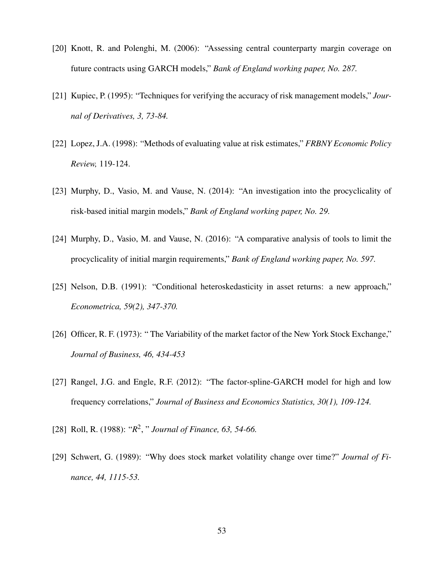- [20] Knott, R. and Polenghi, M. (2006): "Assessing central counterparty margin coverage on future contracts using GARCH models," *Bank of England working paper, No. 287.*
- [21] Kupiec, P. (1995): "Techniques for verifying the accuracy of risk management models," *Journal of Derivatives, 3, 73-84.*
- [22] Lopez, J.A. (1998): "Methods of evaluating value at risk estimates," *FRBNY Economic Policy Review,* 119-124.
- [23] Murphy, D., Vasio, M. and Vause, N. (2014): "An investigation into the procyclicality of risk-based initial margin models," *Bank of England working paper, No. 29.*
- [24] Murphy, D., Vasio, M. and Vause, N. (2016): "A comparative analysis of tools to limit the procyclicality of initial margin requirements," *Bank of England working paper, No. 597.*
- [25] Nelson, D.B. (1991): "Conditional heteroskedasticity in asset returns: a new approach," *Econometrica, 59(2), 347-370.*
- [26] Officer, R. F. (1973): "The Variability of the market factor of the New York Stock Exchange," *Journal of Business, 46, 434-453*
- [27] Rangel, J.G. and Engle, R.F. (2012): "The factor-spline-GARCH model for high and low frequency correlations," *Journal of Business and Economics Statistics, 30(1), 109-124.*
- [28] Roll, R. (1988): "*R* 2 , " *Journal of Finance, 63, 54-66.*
- [29] Schwert, G. (1989): "Why does stock market volatility change over time?" *Journal of Finance, 44, 1115-53.*